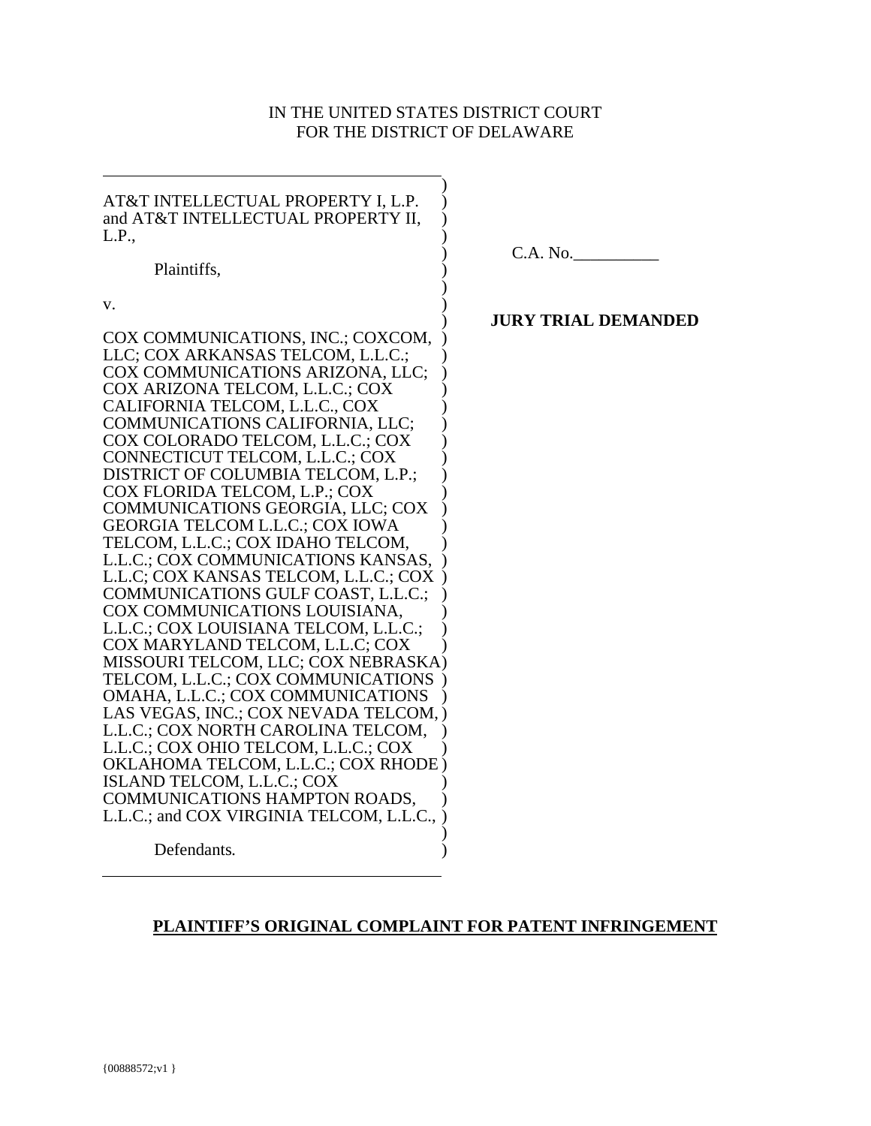# IN THE UNITED STATES DISTRICT COURT FOR THE DISTRICT OF DELAWARE

)

| AT&T INTELLECTUAL PROPERTY I, L.P.<br>and AT&T INTELLECTUAL PROPERTY II,<br>L.P.,                           | C.A. No.                   |
|-------------------------------------------------------------------------------------------------------------|----------------------------|
| Plaintiffs,                                                                                                 |                            |
| V.                                                                                                          | <b>JURY TRIAL DEMANDED</b> |
| COX COMMUNICATIONS, INC.; COXCOM,<br>LLC; COX ARKANSAS TELCOM, L.L.C.;                                      |                            |
| COX COMMUNICATIONS ARIZONA, LLC;<br>COX ARIZONA TELCOM, L.L.C.; COX<br>CALIFORNIA TELCOM, L.L.C., COX       |                            |
| COMMUNICATIONS CALIFORNIA, LLC;<br>COX COLORADO TELCOM, L.L.C.; COX                                         |                            |
| CONNECTICUT TELCOM, L.L.C.; COX<br>DISTRICT OF COLUMBIA TELCOM, L.P.;                                       |                            |
| COX FLORIDA TELCOM, L.P.; COX<br>COMMUNICATIONS GEORGIA, LLC; COX<br><b>GEORGIA TELCOM L.L.C.; COX IOWA</b> |                            |
| TELCOM, L.L.C.; COX IDAHO TELCOM,<br>L.L.C.; COX COMMUNICATIONS KANSAS,                                     |                            |
| L.L.C; COX KANSAS TELCOM, L.L.C.; COX<br>COMMUNICATIONS GULF COAST, L.L.C.;                                 |                            |
| COX COMMUNICATIONS LOUISIANA,<br>L.L.C.; COX LOUISIANA TELCOM, L.L.C.;                                      |                            |
| COX MARYLAND TELCOM, L.L.C; COX<br>MISSOURI TELCOM, LLC; COX NEBRASKA)                                      |                            |
| TELCOM, L.L.C.; COX COMMUNICATIONS<br>OMAHA, L.L.C.; COX COMMUNICATIONS                                     |                            |
| LAS VEGAS, INC.; COX NEVADA TELCOM, )<br>L.L.C.; COX NORTH CAROLINA TELCOM,                                 |                            |
| L.L.C.; COX OHIO TELCOM, L.L.C.; COX<br>OKLAHOMA TELCOM, L.L.C.; COX RHODE)                                 |                            |
| ISLAND TELCOM, L.L.C.; COX<br>COMMUNICATIONS HAMPTON ROADS,                                                 |                            |
| L.L.C.; and COX VIRGINIA TELCOM, L.L.C.,                                                                    |                            |
| Defendants.                                                                                                 |                            |

# **PLAINTIFF'S ORIGINAL COMPLAINT FOR PATENT INFRINGEMENT**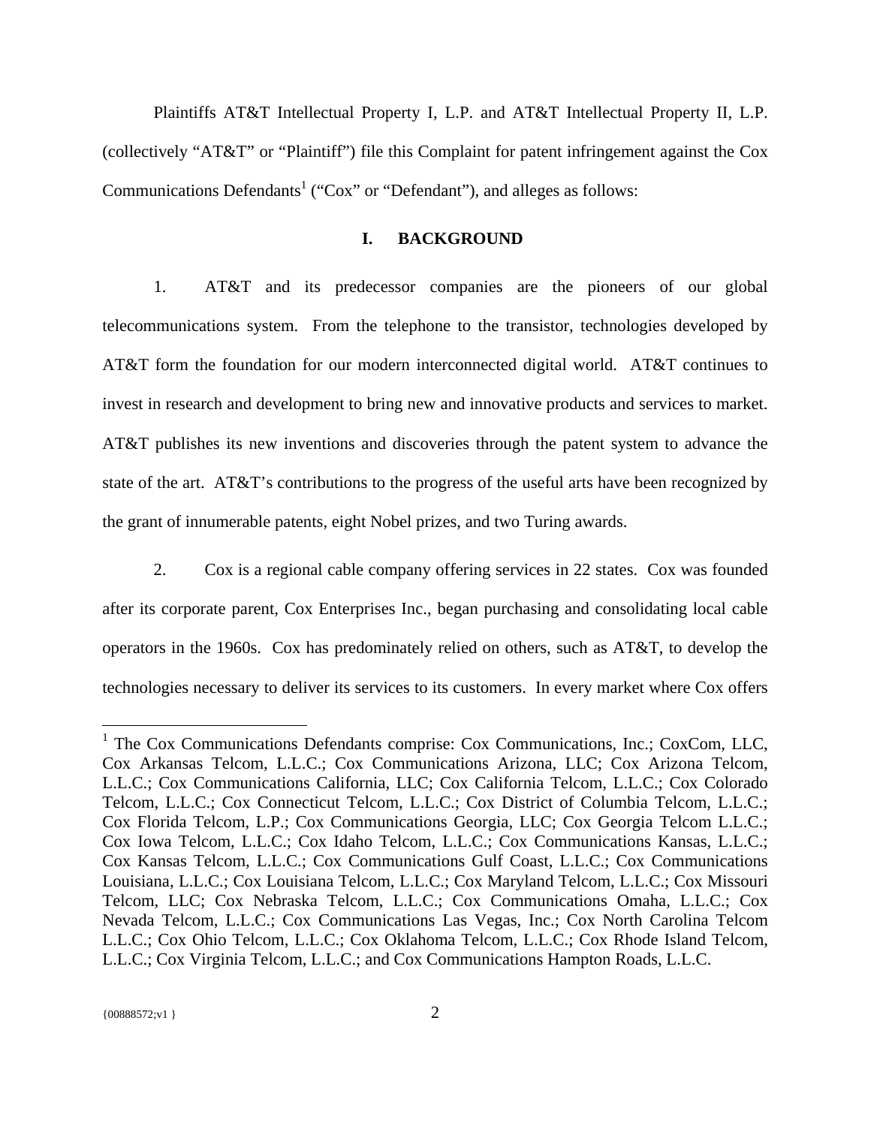Plaintiffs AT&T Intellectual Property I, L.P. and AT&T Intellectual Property II, L.P. (collectively "AT&T" or "Plaintiff") file this Complaint for patent infringement against the Cox Communications Defendants<sup>1</sup> ("Cox" or "Defendant"), and alleges as follows:

## **I. BACKGROUND**

1. AT&T and its predecessor companies are the pioneers of our global telecommunications system. From the telephone to the transistor, technologies developed by AT&T form the foundation for our modern interconnected digital world. AT&T continues to invest in research and development to bring new and innovative products and services to market. AT&T publishes its new inventions and discoveries through the patent system to advance the state of the art. AT&T's contributions to the progress of the useful arts have been recognized by the grant of innumerable patents, eight Nobel prizes, and two Turing awards.

2. Cox is a regional cable company offering services in 22 states. Cox was founded after its corporate parent, Cox Enterprises Inc., began purchasing and consolidating local cable operators in the 1960s. Cox has predominately relied on others, such as AT&T, to develop the technologies necessary to deliver its services to its customers. In every market where Cox offers

 $\overline{a}$ 

<sup>&</sup>lt;sup>1</sup> The Cox Communications Defendants comprise: Cox Communications, Inc.; CoxCom, LLC, Cox Arkansas Telcom, L.L.C.; Cox Communications Arizona, LLC; Cox Arizona Telcom, L.L.C.; Cox Communications California, LLC; Cox California Telcom, L.L.C.; Cox Colorado Telcom, L.L.C.; Cox Connecticut Telcom, L.L.C.; Cox District of Columbia Telcom, L.L.C.; Cox Florida Telcom, L.P.; Cox Communications Georgia, LLC; Cox Georgia Telcom L.L.C.; Cox Iowa Telcom, L.L.C.; Cox Idaho Telcom, L.L.C.; Cox Communications Kansas, L.L.C.; Cox Kansas Telcom, L.L.C.; Cox Communications Gulf Coast, L.L.C.; Cox Communications Louisiana, L.L.C.; Cox Louisiana Telcom, L.L.C.; Cox Maryland Telcom, L.L.C.; Cox Missouri Telcom, LLC; Cox Nebraska Telcom, L.L.C.; Cox Communications Omaha, L.L.C.; Cox Nevada Telcom, L.L.C.; Cox Communications Las Vegas, Inc.; Cox North Carolina Telcom L.L.C.; Cox Ohio Telcom, L.L.C.; Cox Oklahoma Telcom, L.L.C.; Cox Rhode Island Telcom, L.L.C.; Cox Virginia Telcom, L.L.C.; and Cox Communications Hampton Roads, L.L.C.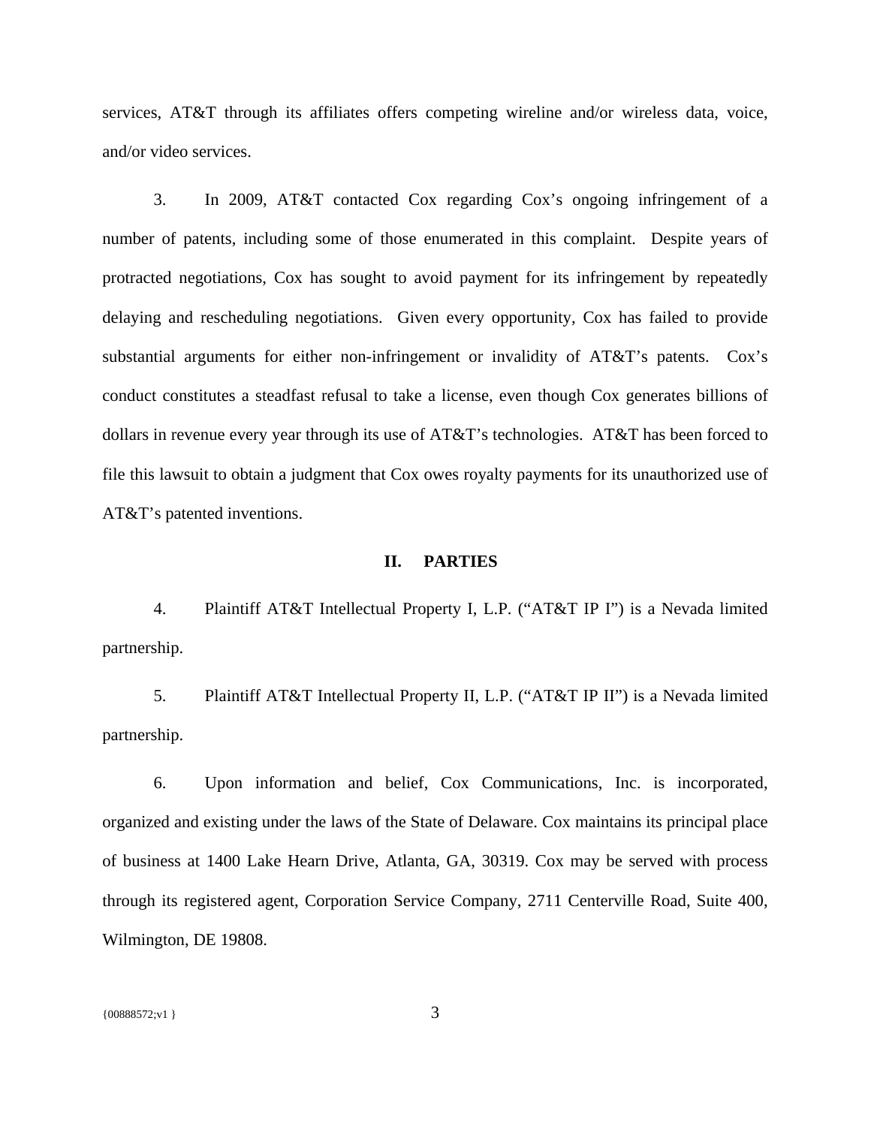services, AT&T through its affiliates offers competing wireline and/or wireless data, voice, and/or video services.

3. In 2009, AT&T contacted Cox regarding Cox's ongoing infringement of a number of patents, including some of those enumerated in this complaint. Despite years of protracted negotiations, Cox has sought to avoid payment for its infringement by repeatedly delaying and rescheduling negotiations. Given every opportunity, Cox has failed to provide substantial arguments for either non-infringement or invalidity of AT&T's patents. Cox's conduct constitutes a steadfast refusal to take a license, even though Cox generates billions of dollars in revenue every year through its use of AT&T's technologies. AT&T has been forced to file this lawsuit to obtain a judgment that Cox owes royalty payments for its unauthorized use of AT&T's patented inventions.

### **II. PARTIES**

4. Plaintiff AT&T Intellectual Property I, L.P. ("AT&T IP I") is a Nevada limited partnership.

5. Plaintiff AT&T Intellectual Property II, L.P. ("AT&T IP II") is a Nevada limited partnership.

6. Upon information and belief, Cox Communications, Inc. is incorporated, organized and existing under the laws of the State of Delaware. Cox maintains its principal place of business at 1400 Lake Hearn Drive, Atlanta, GA, 30319. Cox may be served with process through its registered agent, Corporation Service Company, 2711 Centerville Road, Suite 400, Wilmington, DE 19808.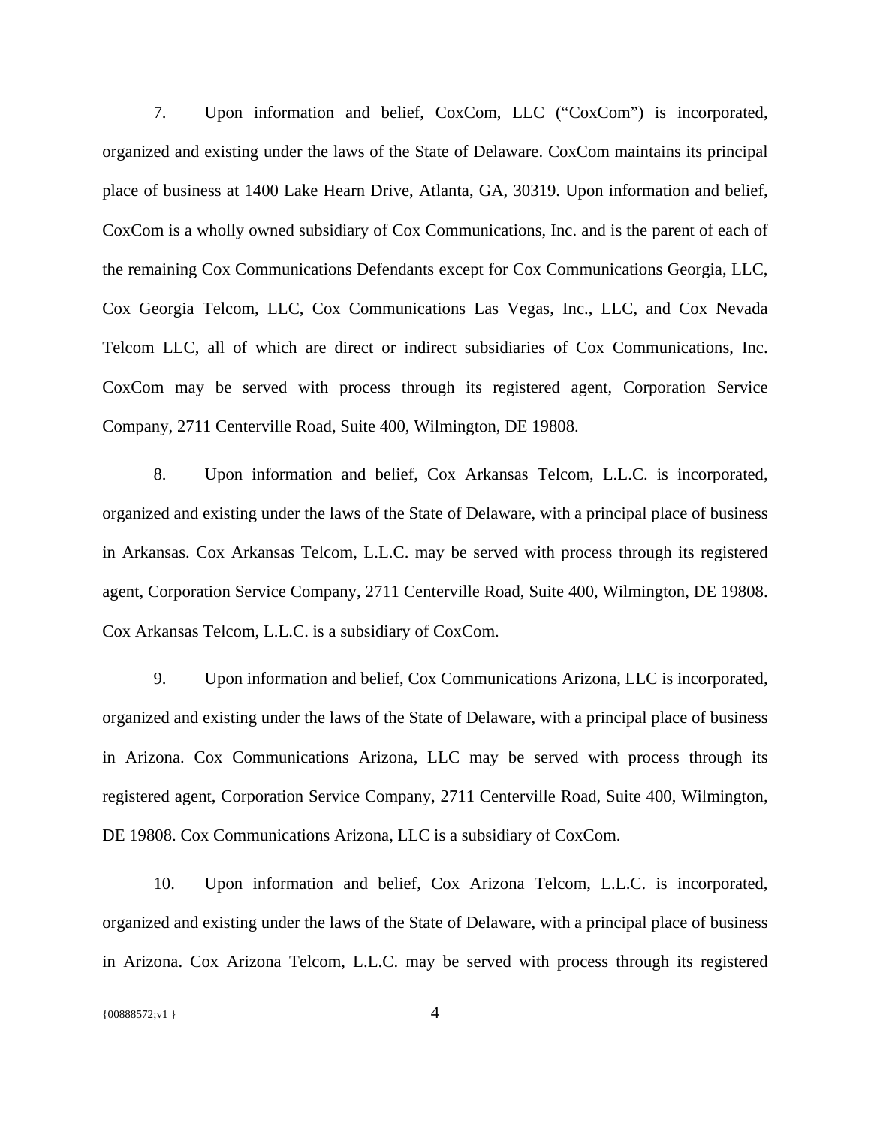7. Upon information and belief, CoxCom, LLC ("CoxCom") is incorporated, organized and existing under the laws of the State of Delaware. CoxCom maintains its principal place of business at 1400 Lake Hearn Drive, Atlanta, GA, 30319. Upon information and belief, CoxCom is a wholly owned subsidiary of Cox Communications, Inc. and is the parent of each of the remaining Cox Communications Defendants except for Cox Communications Georgia, LLC, Cox Georgia Telcom, LLC, Cox Communications Las Vegas, Inc., LLC, and Cox Nevada Telcom LLC, all of which are direct or indirect subsidiaries of Cox Communications, Inc. CoxCom may be served with process through its registered agent, Corporation Service Company, 2711 Centerville Road, Suite 400, Wilmington, DE 19808.

8. Upon information and belief, Cox Arkansas Telcom, L.L.C. is incorporated, organized and existing under the laws of the State of Delaware, with a principal place of business in Arkansas. Cox Arkansas Telcom, L.L.C. may be served with process through its registered agent, Corporation Service Company, 2711 Centerville Road, Suite 400, Wilmington, DE 19808. Cox Arkansas Telcom, L.L.C. is a subsidiary of CoxCom.

9. Upon information and belief, Cox Communications Arizona, LLC is incorporated, organized and existing under the laws of the State of Delaware, with a principal place of business in Arizona. Cox Communications Arizona, LLC may be served with process through its registered agent, Corporation Service Company, 2711 Centerville Road, Suite 400, Wilmington, DE 19808. Cox Communications Arizona, LLC is a subsidiary of CoxCom.

10. Upon information and belief, Cox Arizona Telcom, L.L.C. is incorporated, organized and existing under the laws of the State of Delaware, with a principal place of business in Arizona. Cox Arizona Telcom, L.L.C. may be served with process through its registered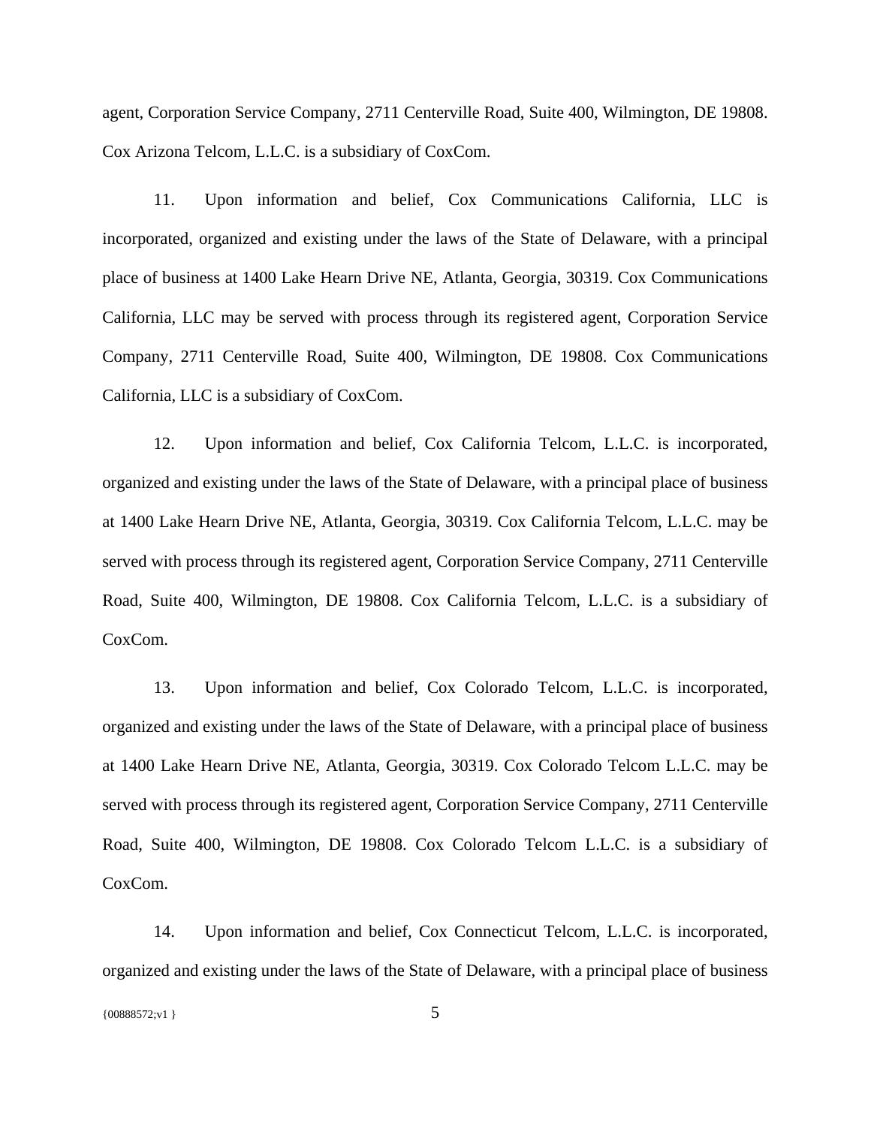agent, Corporation Service Company, 2711 Centerville Road, Suite 400, Wilmington, DE 19808. Cox Arizona Telcom, L.L.C. is a subsidiary of CoxCom.

11. Upon information and belief, Cox Communications California, LLC is incorporated, organized and existing under the laws of the State of Delaware, with a principal place of business at 1400 Lake Hearn Drive NE, Atlanta, Georgia, 30319. Cox Communications California, LLC may be served with process through its registered agent, Corporation Service Company, 2711 Centerville Road, Suite 400, Wilmington, DE 19808. Cox Communications California, LLC is a subsidiary of CoxCom.

12. Upon information and belief, Cox California Telcom, L.L.C. is incorporated, organized and existing under the laws of the State of Delaware, with a principal place of business at 1400 Lake Hearn Drive NE, Atlanta, Georgia, 30319. Cox California Telcom, L.L.C. may be served with process through its registered agent, Corporation Service Company, 2711 Centerville Road, Suite 400, Wilmington, DE 19808. Cox California Telcom, L.L.C. is a subsidiary of CoxCom.

13. Upon information and belief, Cox Colorado Telcom, L.L.C. is incorporated, organized and existing under the laws of the State of Delaware, with a principal place of business at 1400 Lake Hearn Drive NE, Atlanta, Georgia, 30319. Cox Colorado Telcom L.L.C. may be served with process through its registered agent, Corporation Service Company, 2711 Centerville Road, Suite 400, Wilmington, DE 19808. Cox Colorado Telcom L.L.C. is a subsidiary of CoxCom.

14. Upon information and belief, Cox Connecticut Telcom, L.L.C. is incorporated, organized and existing under the laws of the State of Delaware, with a principal place of business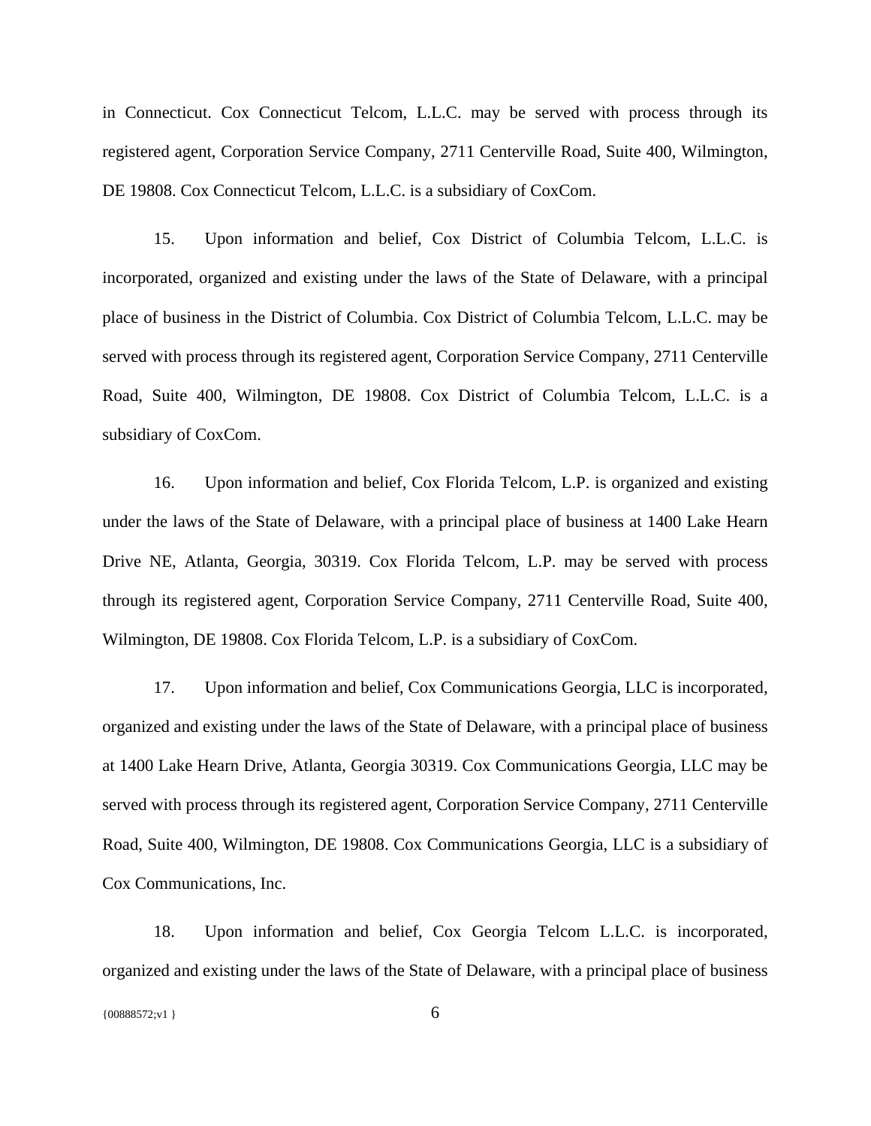in Connecticut. Cox Connecticut Telcom, L.L.C. may be served with process through its registered agent, Corporation Service Company, 2711 Centerville Road, Suite 400, Wilmington, DE 19808. Cox Connecticut Telcom, L.L.C. is a subsidiary of CoxCom.

15. Upon information and belief, Cox District of Columbia Telcom, L.L.C. is incorporated, organized and existing under the laws of the State of Delaware, with a principal place of business in the District of Columbia. Cox District of Columbia Telcom, L.L.C. may be served with process through its registered agent, Corporation Service Company, 2711 Centerville Road, Suite 400, Wilmington, DE 19808. Cox District of Columbia Telcom, L.L.C. is a subsidiary of CoxCom.

16. Upon information and belief, Cox Florida Telcom, L.P. is organized and existing under the laws of the State of Delaware, with a principal place of business at 1400 Lake Hearn Drive NE, Atlanta, Georgia, 30319. Cox Florida Telcom, L.P. may be served with process through its registered agent, Corporation Service Company, 2711 Centerville Road, Suite 400, Wilmington, DE 19808. Cox Florida Telcom, L.P. is a subsidiary of CoxCom.

17. Upon information and belief, Cox Communications Georgia, LLC is incorporated, organized and existing under the laws of the State of Delaware, with a principal place of business at 1400 Lake Hearn Drive, Atlanta, Georgia 30319. Cox Communications Georgia, LLC may be served with process through its registered agent, Corporation Service Company, 2711 Centerville Road, Suite 400, Wilmington, DE 19808. Cox Communications Georgia, LLC is a subsidiary of Cox Communications, Inc.

18. Upon information and belief, Cox Georgia Telcom L.L.C. is incorporated, organized and existing under the laws of the State of Delaware, with a principal place of business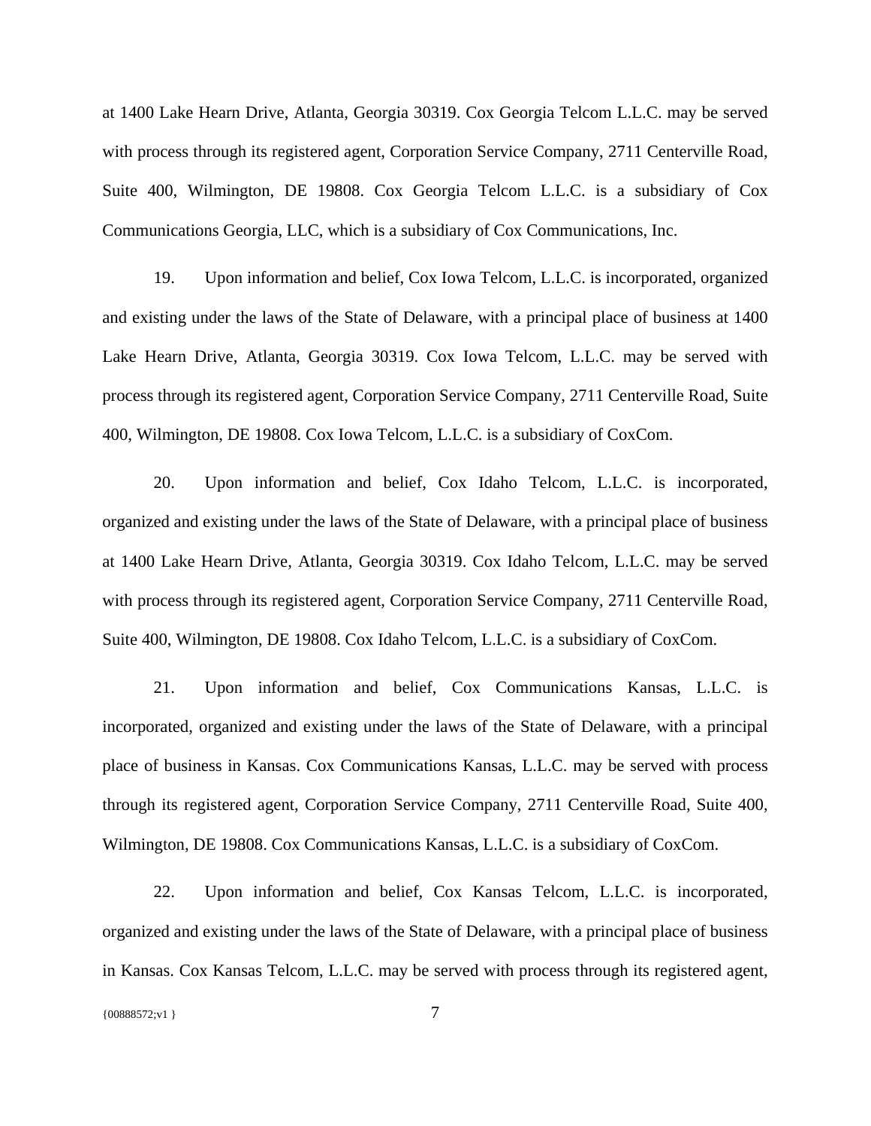at 1400 Lake Hearn Drive, Atlanta, Georgia 30319. Cox Georgia Telcom L.L.C. may be served with process through its registered agent, Corporation Service Company, 2711 Centerville Road, Suite 400, Wilmington, DE 19808. Cox Georgia Telcom L.L.C. is a subsidiary of Cox Communications Georgia, LLC, which is a subsidiary of Cox Communications, Inc.

19. Upon information and belief, Cox Iowa Telcom, L.L.C. is incorporated, organized and existing under the laws of the State of Delaware, with a principal place of business at 1400 Lake Hearn Drive, Atlanta, Georgia 30319. Cox Iowa Telcom, L.L.C. may be served with process through its registered agent, Corporation Service Company, 2711 Centerville Road, Suite 400, Wilmington, DE 19808. Cox Iowa Telcom, L.L.C. is a subsidiary of CoxCom.

20. Upon information and belief, Cox Idaho Telcom, L.L.C. is incorporated, organized and existing under the laws of the State of Delaware, with a principal place of business at 1400 Lake Hearn Drive, Atlanta, Georgia 30319. Cox Idaho Telcom, L.L.C. may be served with process through its registered agent, Corporation Service Company, 2711 Centerville Road, Suite 400, Wilmington, DE 19808. Cox Idaho Telcom, L.L.C. is a subsidiary of CoxCom.

21. Upon information and belief, Cox Communications Kansas, L.L.C. is incorporated, organized and existing under the laws of the State of Delaware, with a principal place of business in Kansas. Cox Communications Kansas, L.L.C. may be served with process through its registered agent, Corporation Service Company, 2711 Centerville Road, Suite 400, Wilmington, DE 19808. Cox Communications Kansas, L.L.C. is a subsidiary of CoxCom.

22. Upon information and belief, Cox Kansas Telcom, L.L.C. is incorporated, organized and existing under the laws of the State of Delaware, with a principal place of business in Kansas. Cox Kansas Telcom, L.L.C. may be served with process through its registered agent,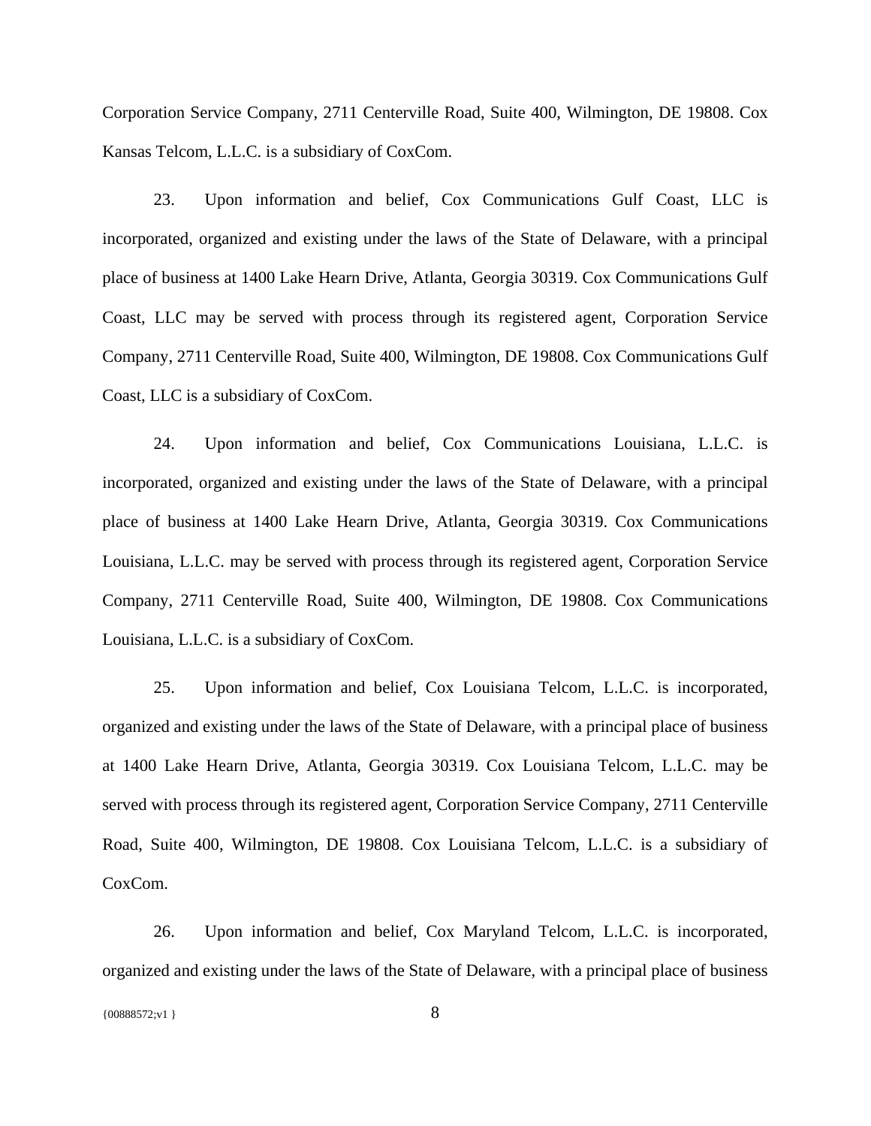Corporation Service Company, 2711 Centerville Road, Suite 400, Wilmington, DE 19808. Cox Kansas Telcom, L.L.C. is a subsidiary of CoxCom.

23. Upon information and belief, Cox Communications Gulf Coast, LLC is incorporated, organized and existing under the laws of the State of Delaware, with a principal place of business at 1400 Lake Hearn Drive, Atlanta, Georgia 30319. Cox Communications Gulf Coast, LLC may be served with process through its registered agent, Corporation Service Company, 2711 Centerville Road, Suite 400, Wilmington, DE 19808. Cox Communications Gulf Coast, LLC is a subsidiary of CoxCom.

24. Upon information and belief, Cox Communications Louisiana, L.L.C. is incorporated, organized and existing under the laws of the State of Delaware, with a principal place of business at 1400 Lake Hearn Drive, Atlanta, Georgia 30319. Cox Communications Louisiana, L.L.C. may be served with process through its registered agent, Corporation Service Company, 2711 Centerville Road, Suite 400, Wilmington, DE 19808. Cox Communications Louisiana, L.L.C. is a subsidiary of CoxCom.

25. Upon information and belief, Cox Louisiana Telcom, L.L.C. is incorporated, organized and existing under the laws of the State of Delaware, with a principal place of business at 1400 Lake Hearn Drive, Atlanta, Georgia 30319. Cox Louisiana Telcom, L.L.C. may be served with process through its registered agent, Corporation Service Company, 2711 Centerville Road, Suite 400, Wilmington, DE 19808. Cox Louisiana Telcom, L.L.C. is a subsidiary of CoxCom.

26. Upon information and belief, Cox Maryland Telcom, L.L.C. is incorporated, organized and existing under the laws of the State of Delaware, with a principal place of business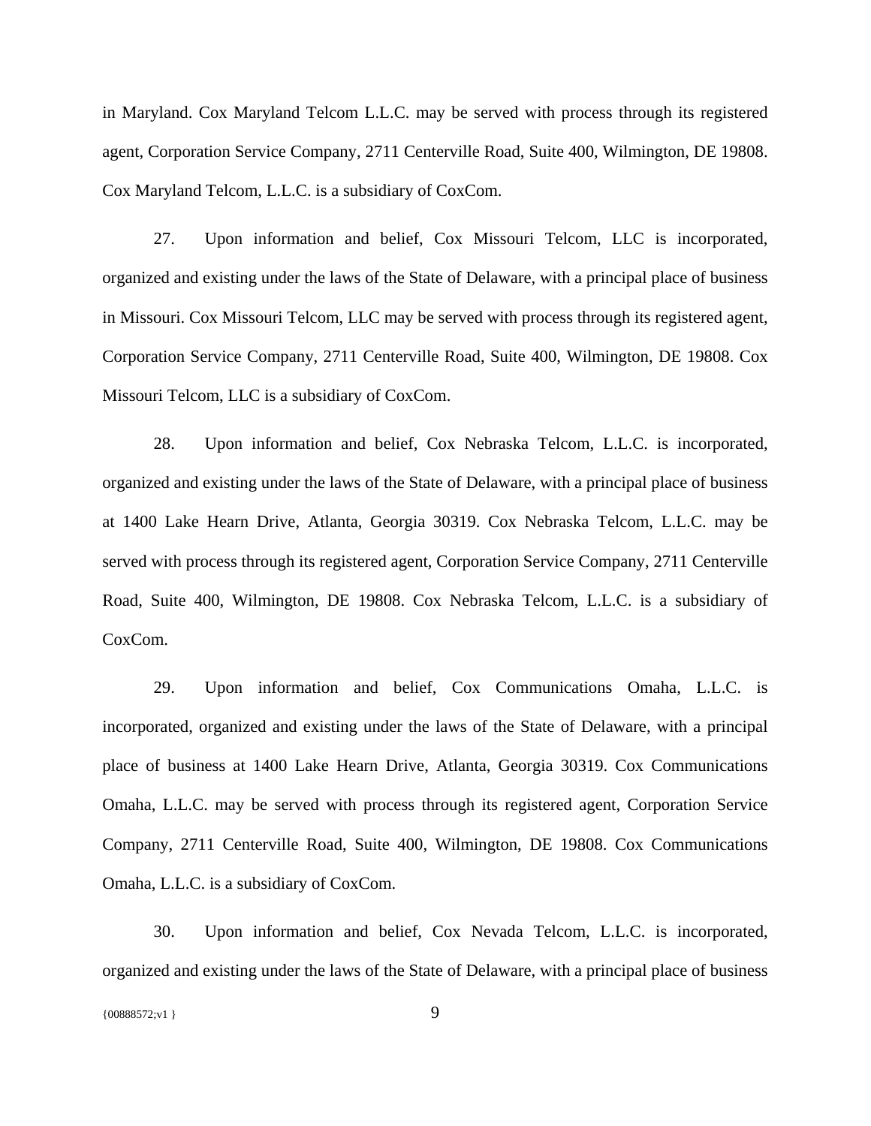in Maryland. Cox Maryland Telcom L.L.C. may be served with process through its registered agent, Corporation Service Company, 2711 Centerville Road, Suite 400, Wilmington, DE 19808. Cox Maryland Telcom, L.L.C. is a subsidiary of CoxCom.

27. Upon information and belief, Cox Missouri Telcom, LLC is incorporated, organized and existing under the laws of the State of Delaware, with a principal place of business in Missouri. Cox Missouri Telcom, LLC may be served with process through its registered agent, Corporation Service Company, 2711 Centerville Road, Suite 400, Wilmington, DE 19808. Cox Missouri Telcom, LLC is a subsidiary of CoxCom.

28. Upon information and belief, Cox Nebraska Telcom, L.L.C. is incorporated, organized and existing under the laws of the State of Delaware, with a principal place of business at 1400 Lake Hearn Drive, Atlanta, Georgia 30319. Cox Nebraska Telcom, L.L.C. may be served with process through its registered agent, Corporation Service Company, 2711 Centerville Road, Suite 400, Wilmington, DE 19808. Cox Nebraska Telcom, L.L.C. is a subsidiary of CoxCom.

29. Upon information and belief, Cox Communications Omaha, L.L.C. is incorporated, organized and existing under the laws of the State of Delaware, with a principal place of business at 1400 Lake Hearn Drive, Atlanta, Georgia 30319. Cox Communications Omaha, L.L.C. may be served with process through its registered agent, Corporation Service Company, 2711 Centerville Road, Suite 400, Wilmington, DE 19808. Cox Communications Omaha, L.L.C. is a subsidiary of CoxCom.

30. Upon information and belief, Cox Nevada Telcom, L.L.C. is incorporated, organized and existing under the laws of the State of Delaware, with a principal place of business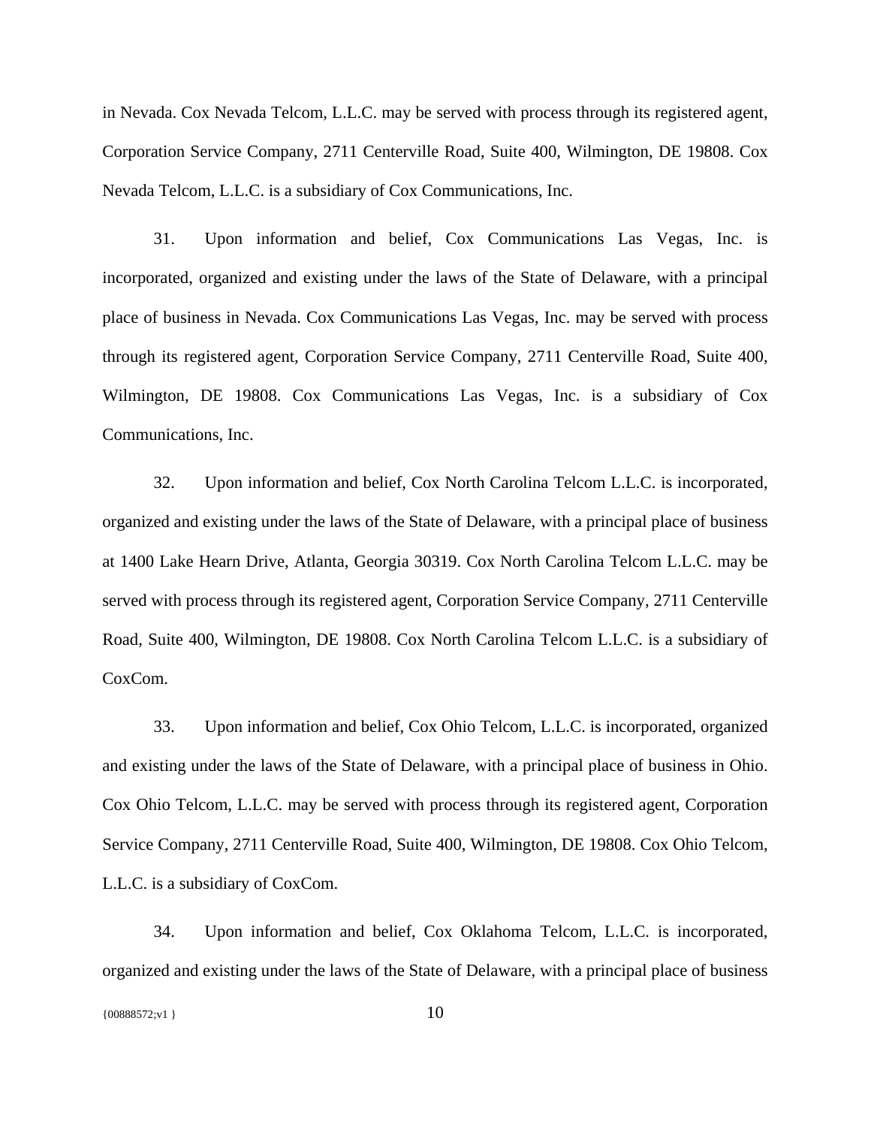in Nevada. Cox Nevada Telcom, L.L.C. may be served with process through its registered agent, Corporation Service Company, 2711 Centerville Road, Suite 400, Wilmington, DE 19808. Cox Nevada Telcom, L.L.C. is a subsidiary of Cox Communications, Inc.

31. Upon information and belief, Cox Communications Las Vegas, Inc. is incorporated, organized and existing under the laws of the State of Delaware, with a principal place of business in Nevada. Cox Communications Las Vegas, Inc. may be served with process through its registered agent, Corporation Service Company, 2711 Centerville Road, Suite 400, Wilmington, DE 19808. Cox Communications Las Vegas, Inc. is a subsidiary of Cox Communications, Inc.

32. Upon information and belief, Cox North Carolina Telcom L.L.C. is incorporated, organized and existing under the laws of the State of Delaware, with a principal place of business at 1400 Lake Hearn Drive, Atlanta, Georgia 30319. Cox North Carolina Telcom L.L.C. may be served with process through its registered agent, Corporation Service Company, 2711 Centerville Road, Suite 400, Wilmington, DE 19808. Cox North Carolina Telcom L.L.C. is a subsidiary of CoxCom.

33. Upon information and belief, Cox Ohio Telcom, L.L.C. is incorporated, organized and existing under the laws of the State of Delaware, with a principal place of business in Ohio. Cox Ohio Telcom, L.L.C. may be served with process through its registered agent, Corporation Service Company, 2711 Centerville Road, Suite 400, Wilmington, DE 19808. Cox Ohio Telcom, L.L.C. is a subsidiary of CoxCom.

34. Upon information and belief, Cox Oklahoma Telcom, L.L.C. is incorporated, organized and existing under the laws of the State of Delaware, with a principal place of business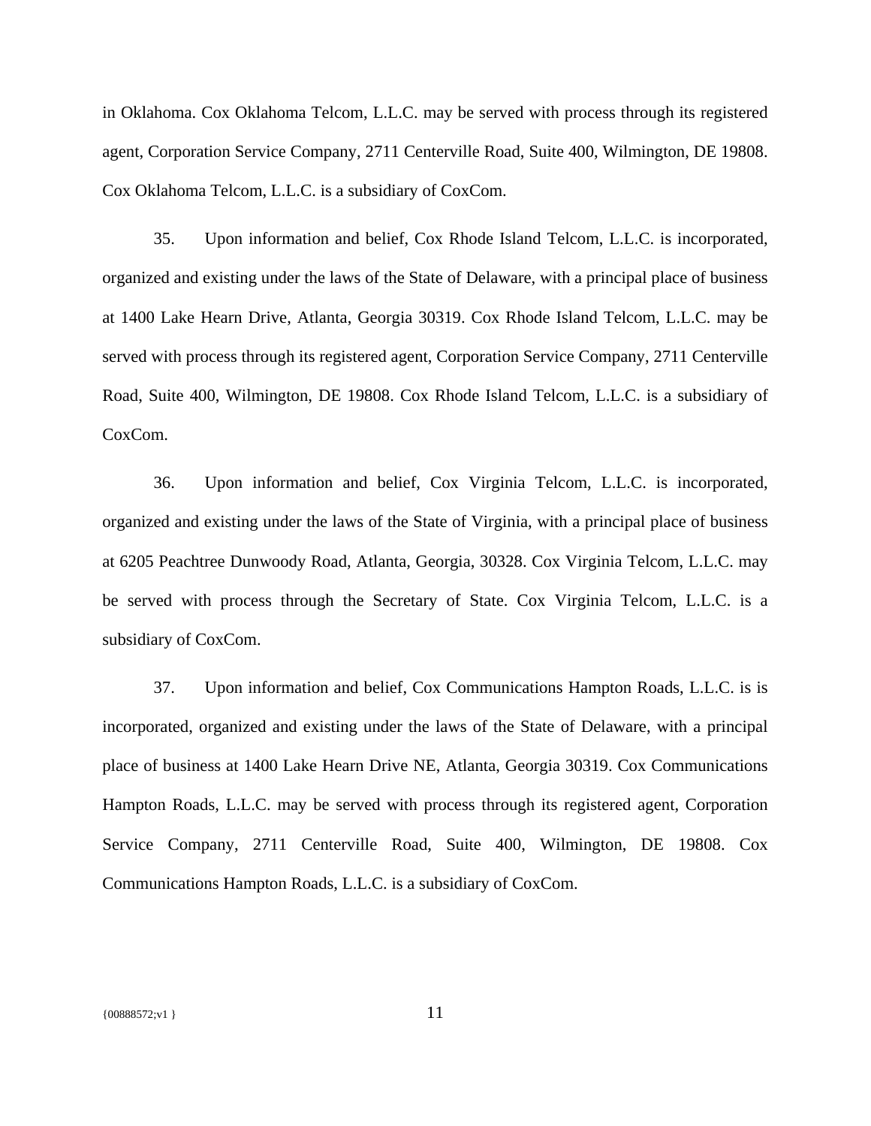in Oklahoma. Cox Oklahoma Telcom, L.L.C. may be served with process through its registered agent, Corporation Service Company, 2711 Centerville Road, Suite 400, Wilmington, DE 19808. Cox Oklahoma Telcom, L.L.C. is a subsidiary of CoxCom.

35. Upon information and belief, Cox Rhode Island Telcom, L.L.C. is incorporated, organized and existing under the laws of the State of Delaware, with a principal place of business at 1400 Lake Hearn Drive, Atlanta, Georgia 30319. Cox Rhode Island Telcom, L.L.C. may be served with process through its registered agent, Corporation Service Company, 2711 Centerville Road, Suite 400, Wilmington, DE 19808. Cox Rhode Island Telcom, L.L.C. is a subsidiary of CoxCom.

36. Upon information and belief, Cox Virginia Telcom, L.L.C. is incorporated, organized and existing under the laws of the State of Virginia, with a principal place of business at 6205 Peachtree Dunwoody Road, Atlanta, Georgia, 30328. Cox Virginia Telcom, L.L.C. may be served with process through the Secretary of State. Cox Virginia Telcom, L.L.C. is a subsidiary of CoxCom.

37. Upon information and belief, Cox Communications Hampton Roads, L.L.C. is is incorporated, organized and existing under the laws of the State of Delaware, with a principal place of business at 1400 Lake Hearn Drive NE, Atlanta, Georgia 30319. Cox Communications Hampton Roads, L.L.C. may be served with process through its registered agent, Corporation Service Company, 2711 Centerville Road, Suite 400, Wilmington, DE 19808. Cox Communications Hampton Roads, L.L.C. is a subsidiary of CoxCom.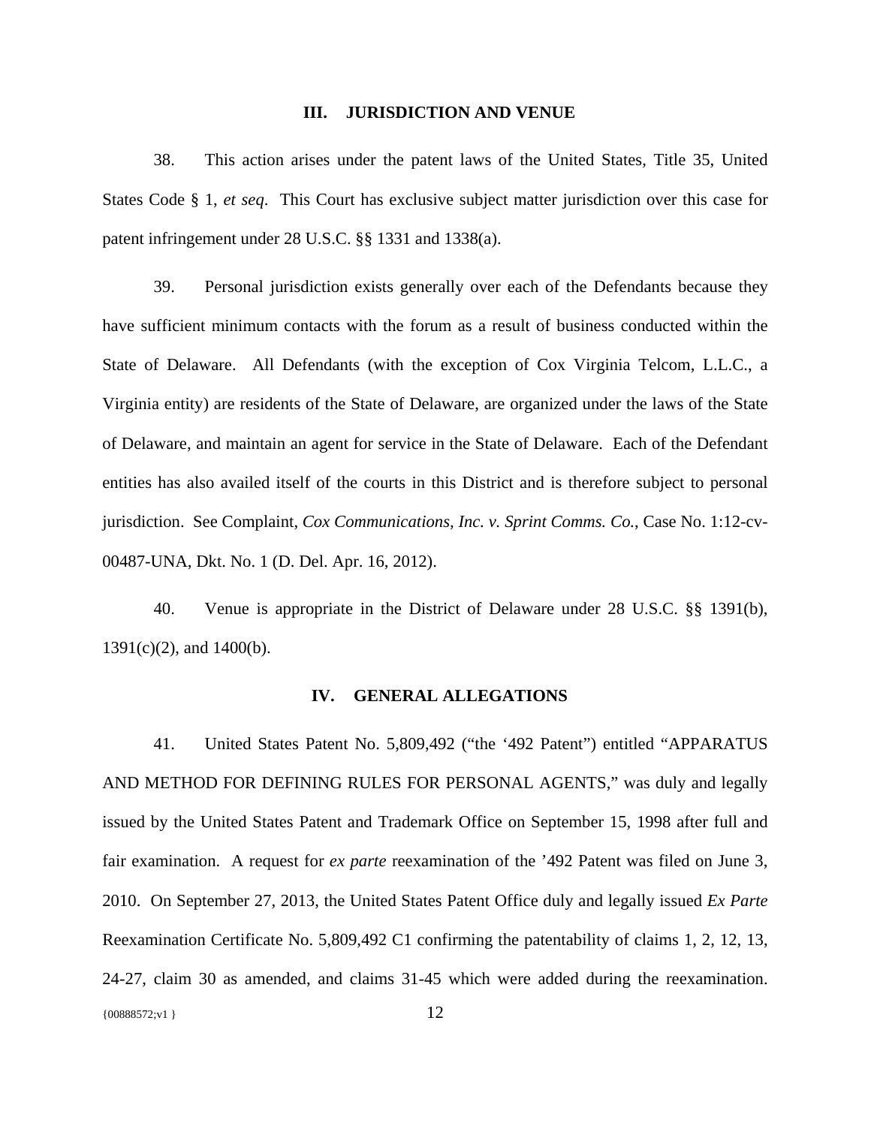### **III. JURISDICTION AND VENUE**

38. This action arises under the patent laws of the United States, Title 35, United States Code § 1, *et seq*. This Court has exclusive subject matter jurisdiction over this case for patent infringement under 28 U.S.C. §§ 1331 and 1338(a).

39. Personal jurisdiction exists generally over each of the Defendants because they have sufficient minimum contacts with the forum as a result of business conducted within the State of Delaware. All Defendants (with the exception of Cox Virginia Telcom, L.L.C., a Virginia entity) are residents of the State of Delaware, are organized under the laws of the State of Delaware, and maintain an agent for service in the State of Delaware. Each of the Defendant entities has also availed itself of the courts in this District and is therefore subject to personal jurisdiction. See Complaint, *Cox Communications, Inc. v. Sprint Comms. Co.*, Case No. 1:12-cv-00487-UNA, Dkt. No. 1 (D. Del. Apr. 16, 2012).

40. Venue is appropriate in the District of Delaware under 28 U.S.C. §§ 1391(b), 1391(c)(2), and 1400(b).

#### **IV. GENERAL ALLEGATIONS**

{00888572;v1 } 12 41. United States Patent No. 5,809,492 ("the '492 Patent") entitled "APPARATUS AND METHOD FOR DEFINING RULES FOR PERSONAL AGENTS," was duly and legally issued by the United States Patent and Trademark Office on September 15, 1998 after full and fair examination. A request for *ex parte* reexamination of the '492 Patent was filed on June 3, 2010. On September 27, 2013, the United States Patent Office duly and legally issued *Ex Parte* Reexamination Certificate No. 5,809,492 C1 confirming the patentability of claims 1, 2, 12, 13, 24-27, claim 30 as amended, and claims 31-45 which were added during the reexamination.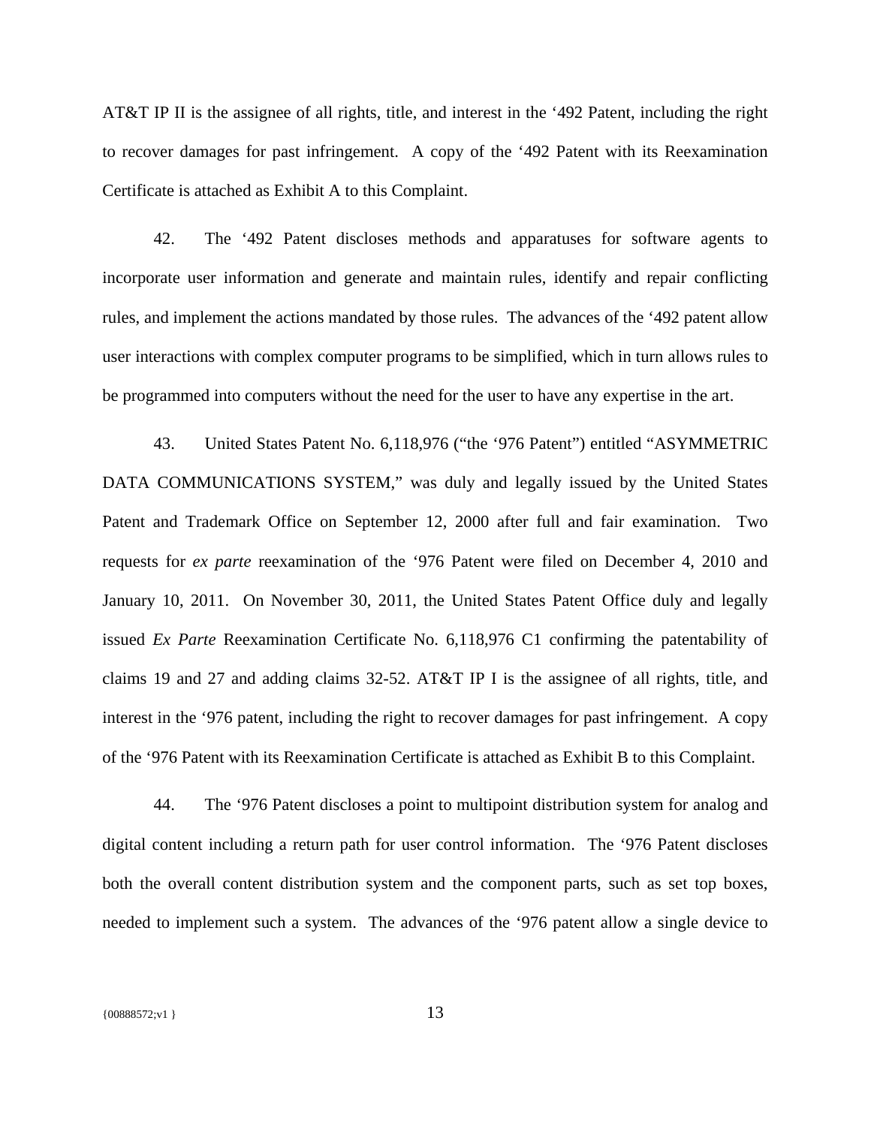AT&T IP II is the assignee of all rights, title, and interest in the '492 Patent, including the right to recover damages for past infringement. A copy of the '492 Patent with its Reexamination Certificate is attached as Exhibit A to this Complaint.

42. The '492 Patent discloses methods and apparatuses for software agents to incorporate user information and generate and maintain rules, identify and repair conflicting rules, and implement the actions mandated by those rules. The advances of the '492 patent allow user interactions with complex computer programs to be simplified, which in turn allows rules to be programmed into computers without the need for the user to have any expertise in the art.

43. United States Patent No. 6,118,976 ("the '976 Patent") entitled "ASYMMETRIC DATA COMMUNICATIONS SYSTEM," was duly and legally issued by the United States Patent and Trademark Office on September 12, 2000 after full and fair examination. Two requests for *ex parte* reexamination of the '976 Patent were filed on December 4, 2010 and January 10, 2011. On November 30, 2011, the United States Patent Office duly and legally issued *Ex Parte* Reexamination Certificate No. 6,118,976 C1 confirming the patentability of claims 19 and 27 and adding claims 32-52. AT&T IP I is the assignee of all rights, title, and interest in the '976 patent, including the right to recover damages for past infringement. A copy of the '976 Patent with its Reexamination Certificate is attached as Exhibit B to this Complaint.

44. The '976 Patent discloses a point to multipoint distribution system for analog and digital content including a return path for user control information. The '976 Patent discloses both the overall content distribution system and the component parts, such as set top boxes, needed to implement such a system. The advances of the '976 patent allow a single device to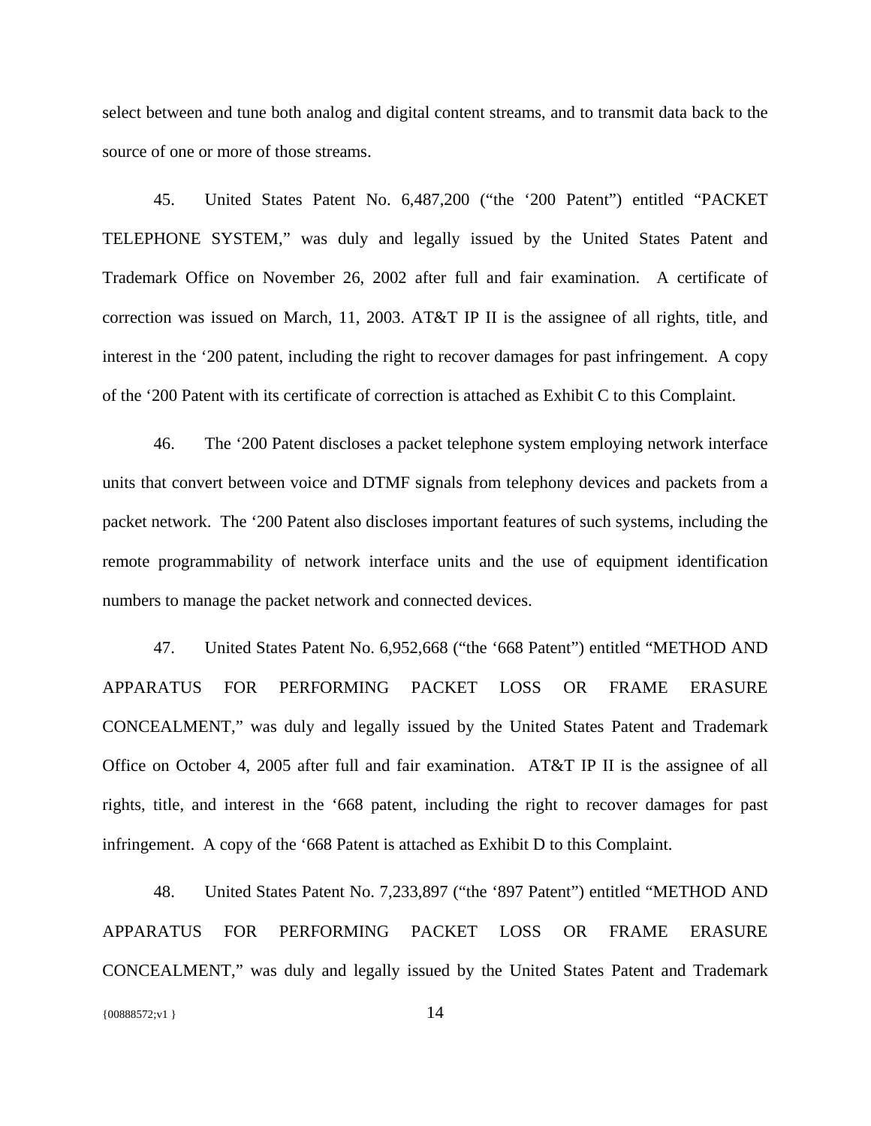select between and tune both analog and digital content streams, and to transmit data back to the source of one or more of those streams.

45. United States Patent No. 6,487,200 ("the '200 Patent") entitled "PACKET TELEPHONE SYSTEM," was duly and legally issued by the United States Patent and Trademark Office on November 26, 2002 after full and fair examination. A certificate of correction was issued on March, 11, 2003. AT&T IP II is the assignee of all rights, title, and interest in the '200 patent, including the right to recover damages for past infringement. A copy of the '200 Patent with its certificate of correction is attached as Exhibit C to this Complaint.

46. The '200 Patent discloses a packet telephone system employing network interface units that convert between voice and DTMF signals from telephony devices and packets from a packet network. The '200 Patent also discloses important features of such systems, including the remote programmability of network interface units and the use of equipment identification numbers to manage the packet network and connected devices.

47. United States Patent No. 6,952,668 ("the '668 Patent") entitled "METHOD AND APPARATUS FOR PERFORMING PACKET LOSS OR FRAME ERASURE CONCEALMENT," was duly and legally issued by the United States Patent and Trademark Office on October 4, 2005 after full and fair examination. AT&T IP II is the assignee of all rights, title, and interest in the '668 patent, including the right to recover damages for past infringement. A copy of the '668 Patent is attached as Exhibit D to this Complaint.

48. United States Patent No. 7,233,897 ("the '897 Patent") entitled "METHOD AND APPARATUS FOR PERFORMING PACKET LOSS OR FRAME ERASURE CONCEALMENT," was duly and legally issued by the United States Patent and Trademark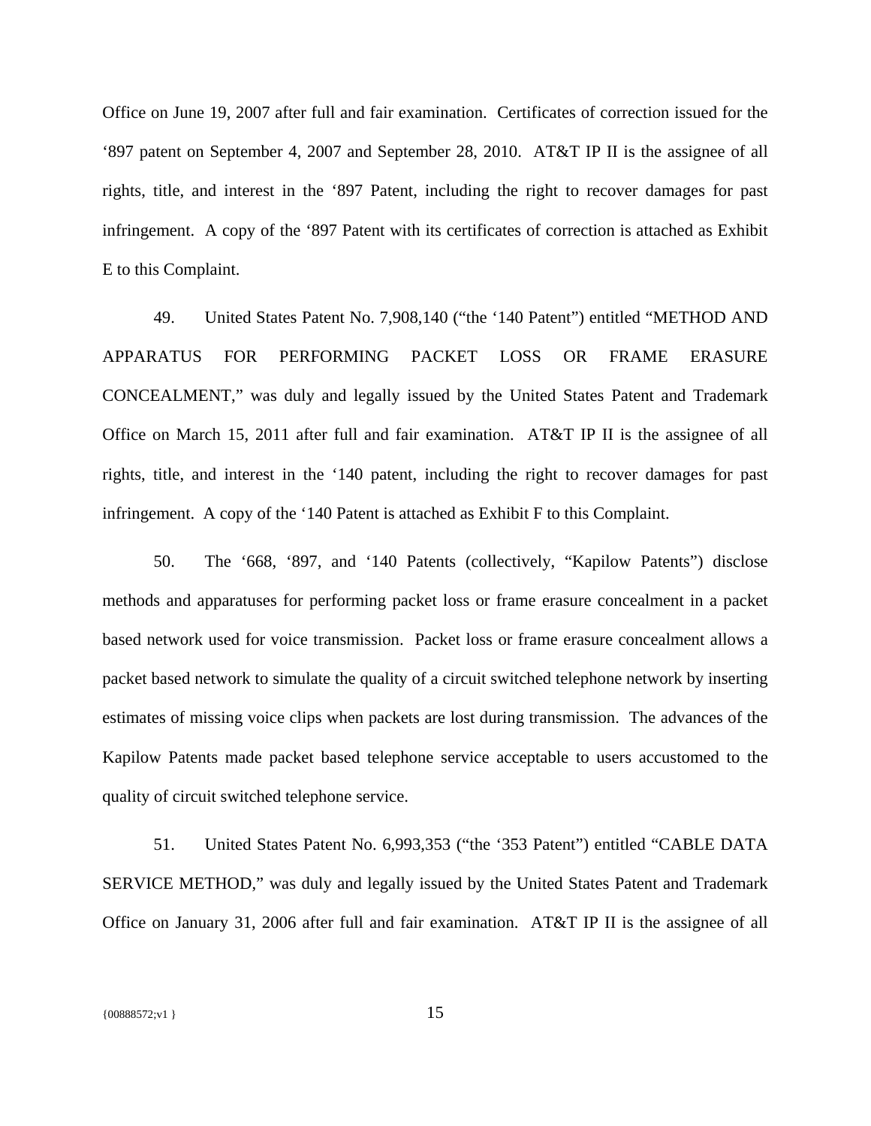Office on June 19, 2007 after full and fair examination. Certificates of correction issued for the '897 patent on September 4, 2007 and September 28, 2010. AT&T IP II is the assignee of all rights, title, and interest in the '897 Patent, including the right to recover damages for past infringement. A copy of the '897 Patent with its certificates of correction is attached as Exhibit E to this Complaint.

49. United States Patent No. 7,908,140 ("the '140 Patent") entitled "METHOD AND APPARATUS FOR PERFORMING PACKET LOSS OR FRAME ERASURE CONCEALMENT," was duly and legally issued by the United States Patent and Trademark Office on March 15, 2011 after full and fair examination. AT&T IP II is the assignee of all rights, title, and interest in the '140 patent, including the right to recover damages for past infringement. A copy of the '140 Patent is attached as Exhibit F to this Complaint.

50. The '668, '897, and '140 Patents (collectively, "Kapilow Patents") disclose methods and apparatuses for performing packet loss or frame erasure concealment in a packet based network used for voice transmission. Packet loss or frame erasure concealment allows a packet based network to simulate the quality of a circuit switched telephone network by inserting estimates of missing voice clips when packets are lost during transmission. The advances of the Kapilow Patents made packet based telephone service acceptable to users accustomed to the quality of circuit switched telephone service.

51. United States Patent No. 6,993,353 ("the '353 Patent") entitled "CABLE DATA SERVICE METHOD," was duly and legally issued by the United States Patent and Trademark Office on January 31, 2006 after full and fair examination. AT&T IP II is the assignee of all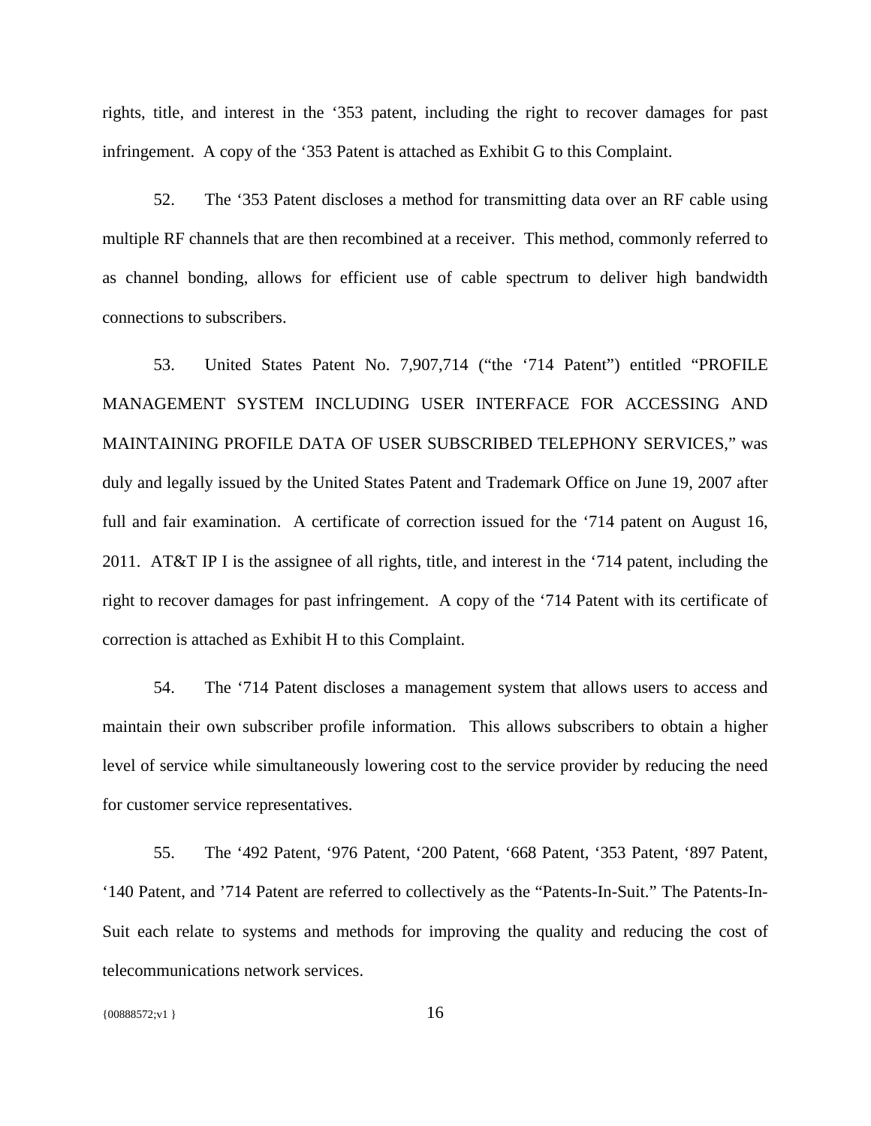rights, title, and interest in the '353 patent, including the right to recover damages for past infringement. A copy of the '353 Patent is attached as Exhibit G to this Complaint.

52. The '353 Patent discloses a method for transmitting data over an RF cable using multiple RF channels that are then recombined at a receiver. This method, commonly referred to as channel bonding, allows for efficient use of cable spectrum to deliver high bandwidth connections to subscribers.

53. United States Patent No. 7,907,714 ("the '714 Patent") entitled "PROFILE MANAGEMENT SYSTEM INCLUDING USER INTERFACE FOR ACCESSING AND MAINTAINING PROFILE DATA OF USER SUBSCRIBED TELEPHONY SERVICES," was duly and legally issued by the United States Patent and Trademark Office on June 19, 2007 after full and fair examination. A certificate of correction issued for the '714 patent on August 16, 2011. AT&T IP I is the assignee of all rights, title, and interest in the '714 patent, including the right to recover damages for past infringement. A copy of the '714 Patent with its certificate of correction is attached as Exhibit H to this Complaint.

54. The '714 Patent discloses a management system that allows users to access and maintain their own subscriber profile information. This allows subscribers to obtain a higher level of service while simultaneously lowering cost to the service provider by reducing the need for customer service representatives.

55. The '492 Patent, '976 Patent, '200 Patent, '668 Patent, '353 Patent, '897 Patent, '140 Patent, and '714 Patent are referred to collectively as the "Patents-In-Suit." The Patents-In-Suit each relate to systems and methods for improving the quality and reducing the cost of telecommunications network services.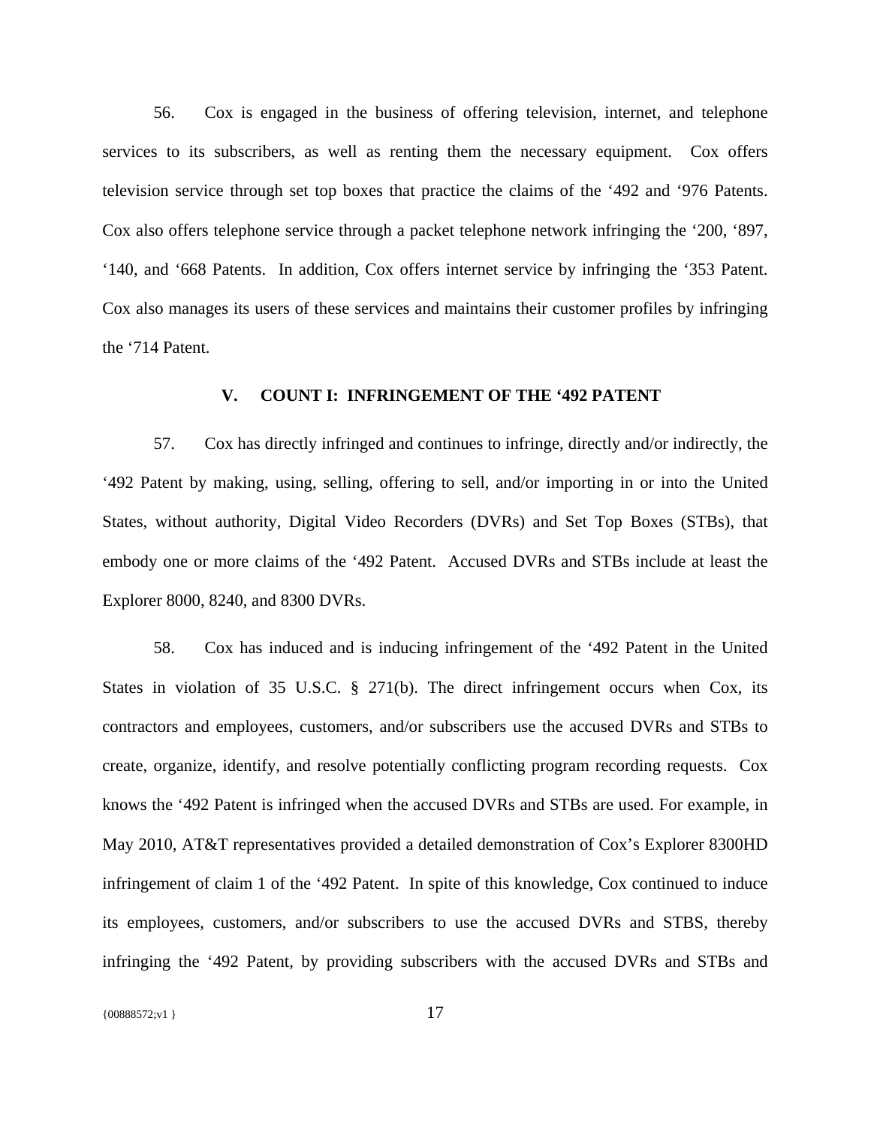56. Cox is engaged in the business of offering television, internet, and telephone services to its subscribers, as well as renting them the necessary equipment. Cox offers television service through set top boxes that practice the claims of the '492 and '976 Patents. Cox also offers telephone service through a packet telephone network infringing the '200, '897, '140, and '668 Patents. In addition, Cox offers internet service by infringing the '353 Patent. Cox also manages its users of these services and maintains their customer profiles by infringing the '714 Patent.

## **V. COUNT I: INFRINGEMENT OF THE '492 PATENT**

57. Cox has directly infringed and continues to infringe, directly and/or indirectly, the '492 Patent by making, using, selling, offering to sell, and/or importing in or into the United States, without authority, Digital Video Recorders (DVRs) and Set Top Boxes (STBs), that embody one or more claims of the '492 Patent. Accused DVRs and STBs include at least the Explorer 8000, 8240, and 8300 DVRs.

58. Cox has induced and is inducing infringement of the '492 Patent in the United States in violation of 35 U.S.C. § 271(b). The direct infringement occurs when Cox, its contractors and employees, customers, and/or subscribers use the accused DVRs and STBs to create, organize, identify, and resolve potentially conflicting program recording requests. Cox knows the '492 Patent is infringed when the accused DVRs and STBs are used. For example, in May 2010, AT&T representatives provided a detailed demonstration of Cox's Explorer 8300HD infringement of claim 1 of the '492 Patent. In spite of this knowledge, Cox continued to induce its employees, customers, and/or subscribers to use the accused DVRs and STBS, thereby infringing the '492 Patent, by providing subscribers with the accused DVRs and STBs and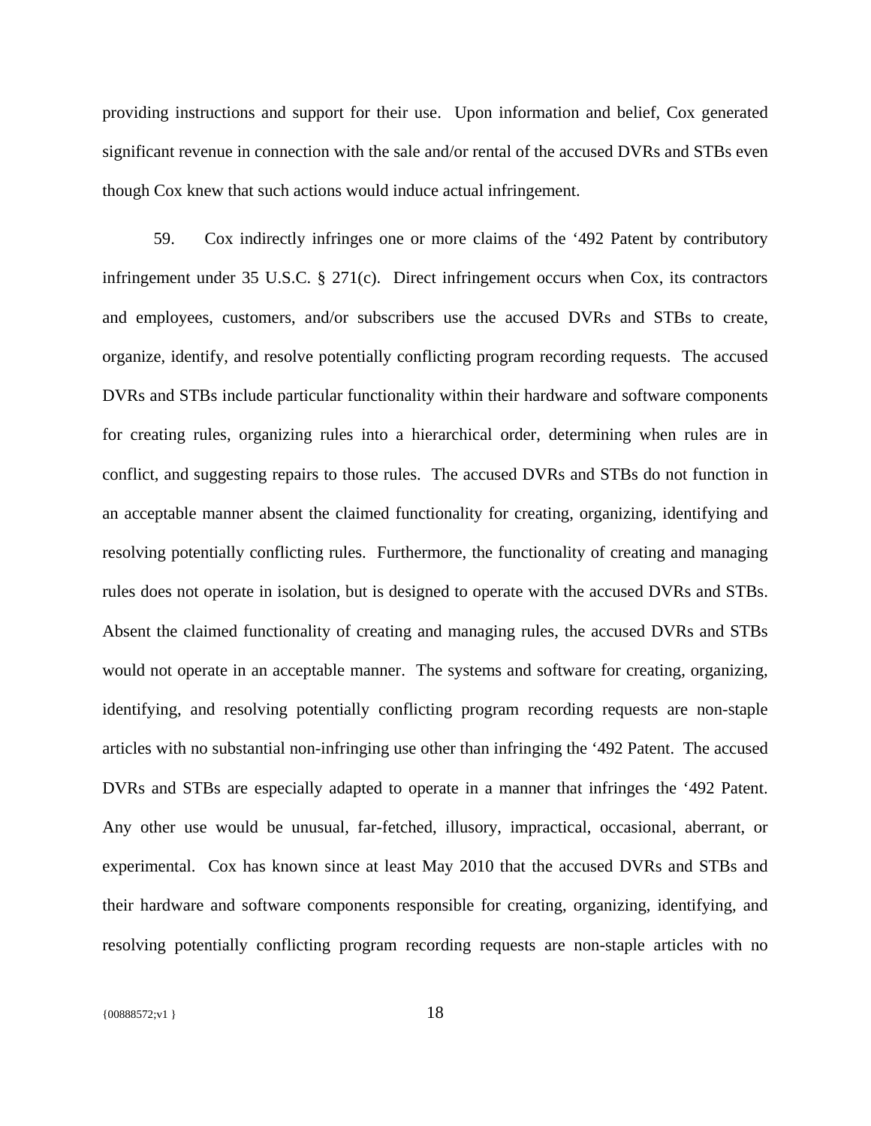providing instructions and support for their use. Upon information and belief, Cox generated significant revenue in connection with the sale and/or rental of the accused DVRs and STBs even though Cox knew that such actions would induce actual infringement.

59. Cox indirectly infringes one or more claims of the '492 Patent by contributory infringement under 35 U.S.C. § 271(c). Direct infringement occurs when Cox, its contractors and employees, customers, and/or subscribers use the accused DVRs and STBs to create, organize, identify, and resolve potentially conflicting program recording requests. The accused DVRs and STBs include particular functionality within their hardware and software components for creating rules, organizing rules into a hierarchical order, determining when rules are in conflict, and suggesting repairs to those rules. The accused DVRs and STBs do not function in an acceptable manner absent the claimed functionality for creating, organizing, identifying and resolving potentially conflicting rules. Furthermore, the functionality of creating and managing rules does not operate in isolation, but is designed to operate with the accused DVRs and STBs. Absent the claimed functionality of creating and managing rules, the accused DVRs and STBs would not operate in an acceptable manner. The systems and software for creating, organizing, identifying, and resolving potentially conflicting program recording requests are non-staple articles with no substantial non-infringing use other than infringing the '492 Patent. The accused DVRs and STBs are especially adapted to operate in a manner that infringes the '492 Patent. Any other use would be unusual, far-fetched, illusory, impractical, occasional, aberrant, or experimental. Cox has known since at least May 2010 that the accused DVRs and STBs and their hardware and software components responsible for creating, organizing, identifying, and resolving potentially conflicting program recording requests are non-staple articles with no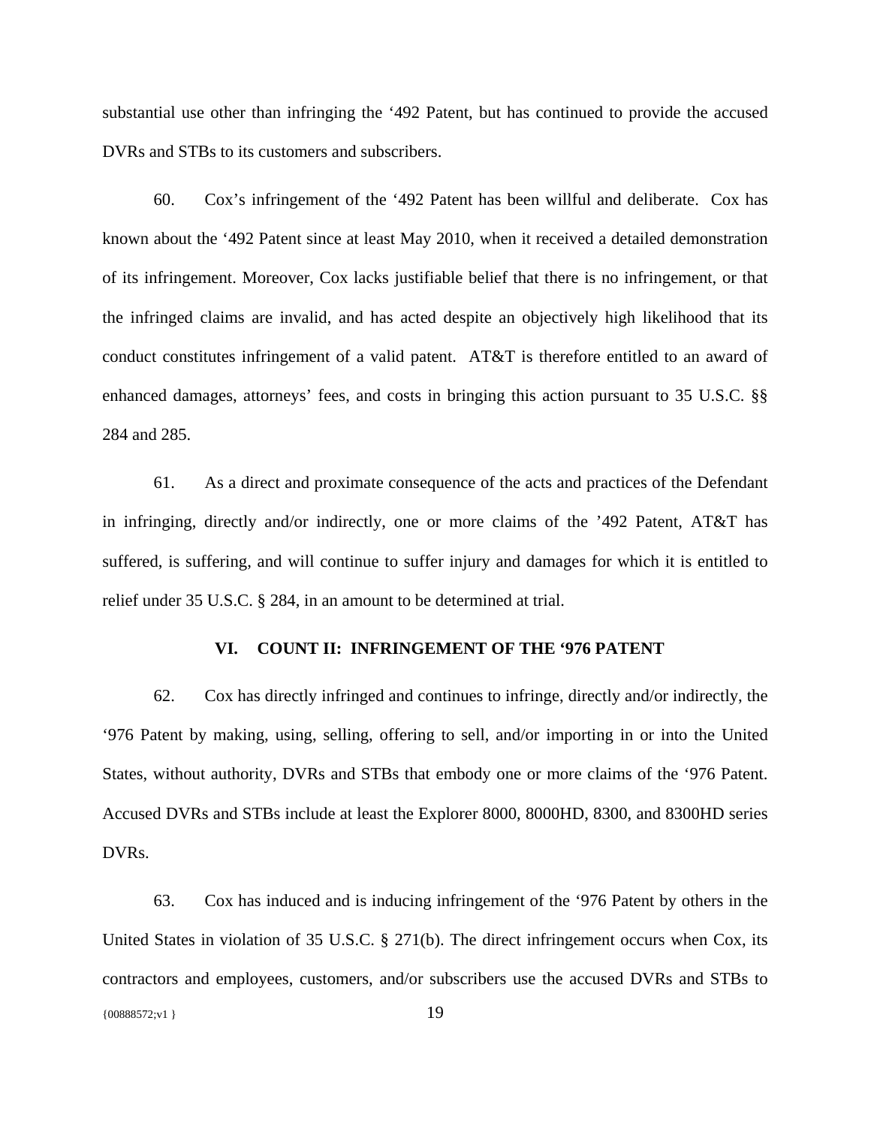substantial use other than infringing the '492 Patent, but has continued to provide the accused DVRs and STBs to its customers and subscribers.

60. Cox's infringement of the '492 Patent has been willful and deliberate. Cox has known about the '492 Patent since at least May 2010, when it received a detailed demonstration of its infringement. Moreover, Cox lacks justifiable belief that there is no infringement, or that the infringed claims are invalid, and has acted despite an objectively high likelihood that its conduct constitutes infringement of a valid patent. AT&T is therefore entitled to an award of enhanced damages, attorneys' fees, and costs in bringing this action pursuant to 35 U.S.C. §§ 284 and 285.

61. As a direct and proximate consequence of the acts and practices of the Defendant in infringing, directly and/or indirectly, one or more claims of the '492 Patent, AT&T has suffered, is suffering, and will continue to suffer injury and damages for which it is entitled to relief under 35 U.S.C. § 284, in an amount to be determined at trial.

## **VI. COUNT II: INFRINGEMENT OF THE '976 PATENT**

62. Cox has directly infringed and continues to infringe, directly and/or indirectly, the '976 Patent by making, using, selling, offering to sell, and/or importing in or into the United States, without authority, DVRs and STBs that embody one or more claims of the '976 Patent. Accused DVRs and STBs include at least the Explorer 8000, 8000HD, 8300, and 8300HD series DVRs.

{00888572;v1 } 19 63. Cox has induced and is inducing infringement of the '976 Patent by others in the United States in violation of 35 U.S.C. § 271(b). The direct infringement occurs when Cox, its contractors and employees, customers, and/or subscribers use the accused DVRs and STBs to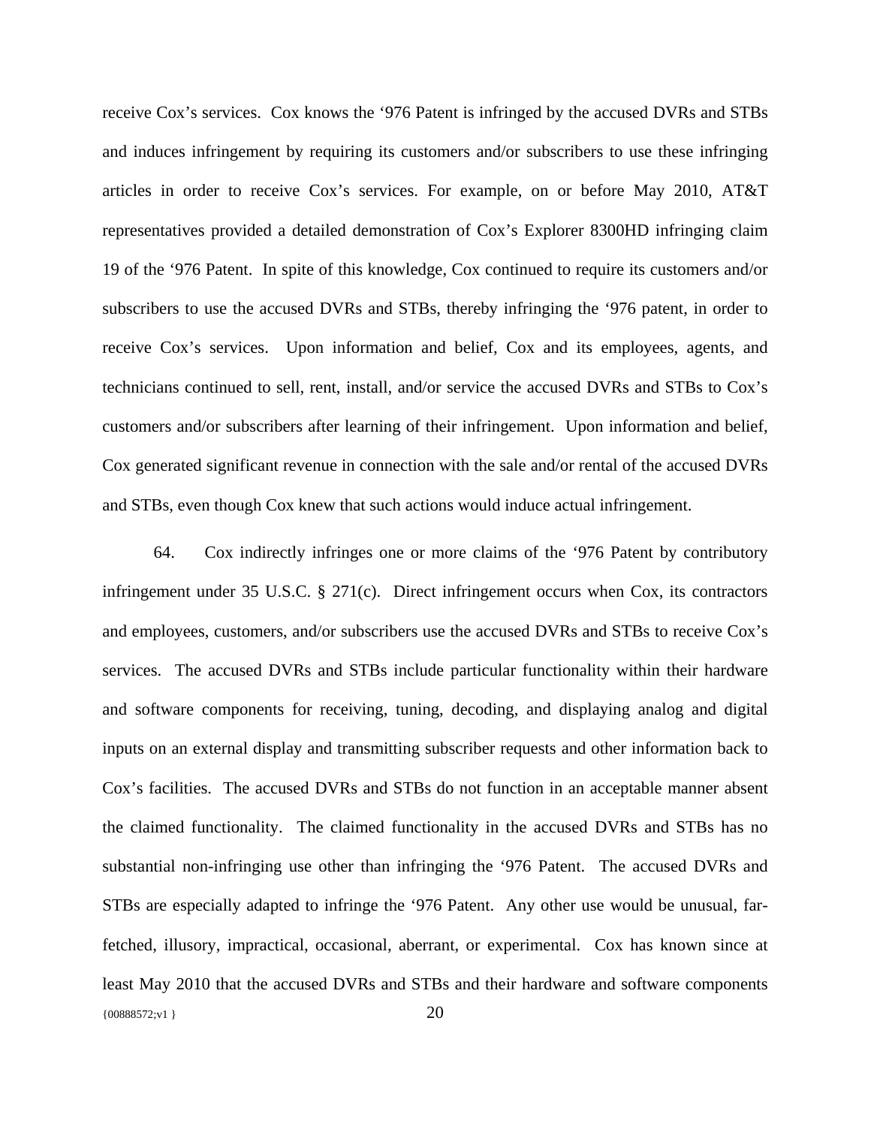receive Cox's services. Cox knows the '976 Patent is infringed by the accused DVRs and STBs and induces infringement by requiring its customers and/or subscribers to use these infringing articles in order to receive Cox's services. For example, on or before May 2010, AT&T representatives provided a detailed demonstration of Cox's Explorer 8300HD infringing claim 19 of the '976 Patent. In spite of this knowledge, Cox continued to require its customers and/or subscribers to use the accused DVRs and STBs, thereby infringing the '976 patent, in order to receive Cox's services. Upon information and belief, Cox and its employees, agents, and technicians continued to sell, rent, install, and/or service the accused DVRs and STBs to Cox's customers and/or subscribers after learning of their infringement. Upon information and belief, Cox generated significant revenue in connection with the sale and/or rental of the accused DVRs and STBs, even though Cox knew that such actions would induce actual infringement.

{00888572;v1 } 20 64. Cox indirectly infringes one or more claims of the '976 Patent by contributory infringement under 35 U.S.C.  $\S$  271(c). Direct infringement occurs when Cox, its contractors and employees, customers, and/or subscribers use the accused DVRs and STBs to receive Cox's services. The accused DVRs and STBs include particular functionality within their hardware and software components for receiving, tuning, decoding, and displaying analog and digital inputs on an external display and transmitting subscriber requests and other information back to Cox's facilities. The accused DVRs and STBs do not function in an acceptable manner absent the claimed functionality. The claimed functionality in the accused DVRs and STBs has no substantial non-infringing use other than infringing the '976 Patent. The accused DVRs and STBs are especially adapted to infringe the '976 Patent. Any other use would be unusual, farfetched, illusory, impractical, occasional, aberrant, or experimental. Cox has known since at least May 2010 that the accused DVRs and STBs and their hardware and software components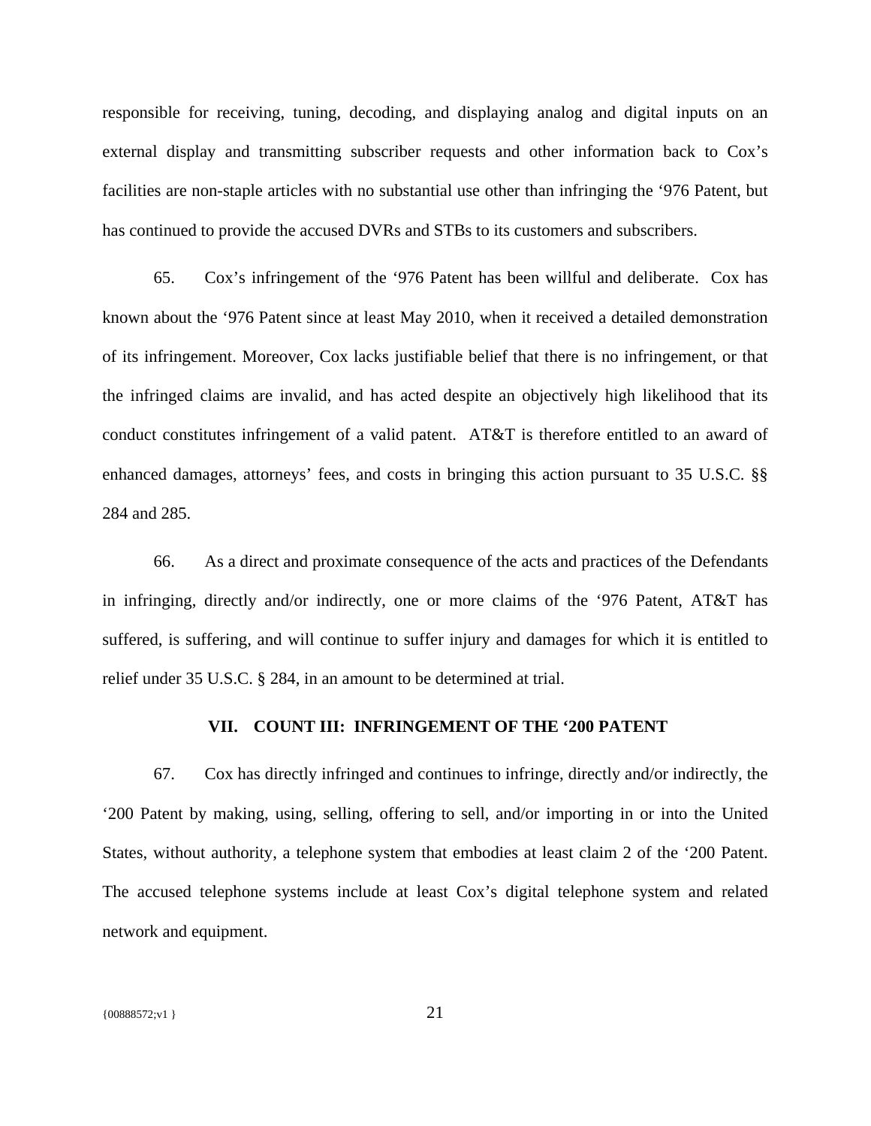responsible for receiving, tuning, decoding, and displaying analog and digital inputs on an external display and transmitting subscriber requests and other information back to Cox's facilities are non-staple articles with no substantial use other than infringing the '976 Patent, but has continued to provide the accused DVRs and STBs to its customers and subscribers.

65. Cox's infringement of the '976 Patent has been willful and deliberate. Cox has known about the '976 Patent since at least May 2010, when it received a detailed demonstration of its infringement. Moreover, Cox lacks justifiable belief that there is no infringement, or that the infringed claims are invalid, and has acted despite an objectively high likelihood that its conduct constitutes infringement of a valid patent. AT&T is therefore entitled to an award of enhanced damages, attorneys' fees, and costs in bringing this action pursuant to 35 U.S.C. §§ 284 and 285.

66. As a direct and proximate consequence of the acts and practices of the Defendants in infringing, directly and/or indirectly, one or more claims of the '976 Patent, AT&T has suffered, is suffering, and will continue to suffer injury and damages for which it is entitled to relief under 35 U.S.C. § 284, in an amount to be determined at trial.

# **VII. COUNT III: INFRINGEMENT OF THE '200 PATENT**

67. Cox has directly infringed and continues to infringe, directly and/or indirectly, the '200 Patent by making, using, selling, offering to sell, and/or importing in or into the United States, without authority, a telephone system that embodies at least claim 2 of the '200 Patent. The accused telephone systems include at least Cox's digital telephone system and related network and equipment.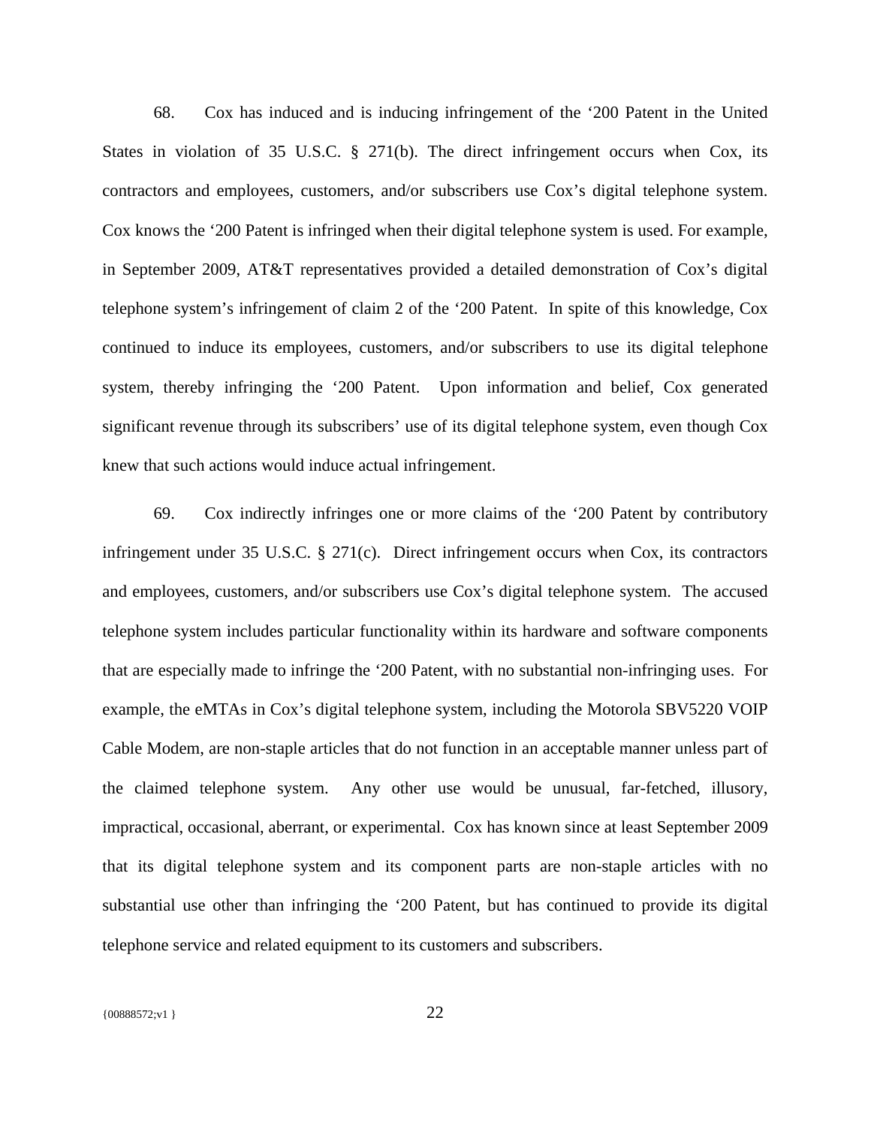68. Cox has induced and is inducing infringement of the '200 Patent in the United States in violation of 35 U.S.C. § 271(b). The direct infringement occurs when Cox, its contractors and employees, customers, and/or subscribers use Cox's digital telephone system. Cox knows the '200 Patent is infringed when their digital telephone system is used. For example, in September 2009, AT&T representatives provided a detailed demonstration of Cox's digital telephone system's infringement of claim 2 of the '200 Patent. In spite of this knowledge, Cox continued to induce its employees, customers, and/or subscribers to use its digital telephone system, thereby infringing the '200 Patent. Upon information and belief, Cox generated significant revenue through its subscribers' use of its digital telephone system, even though Cox knew that such actions would induce actual infringement.

69. Cox indirectly infringes one or more claims of the '200 Patent by contributory infringement under 35 U.S.C. § 271(c). Direct infringement occurs when Cox, its contractors and employees, customers, and/or subscribers use Cox's digital telephone system. The accused telephone system includes particular functionality within its hardware and software components that are especially made to infringe the '200 Patent, with no substantial non-infringing uses. For example, the eMTAs in Cox's digital telephone system, including the Motorola SBV5220 VOIP Cable Modem, are non-staple articles that do not function in an acceptable manner unless part of the claimed telephone system. Any other use would be unusual, far-fetched, illusory, impractical, occasional, aberrant, or experimental. Cox has known since at least September 2009 that its digital telephone system and its component parts are non-staple articles with no substantial use other than infringing the '200 Patent, but has continued to provide its digital telephone service and related equipment to its customers and subscribers.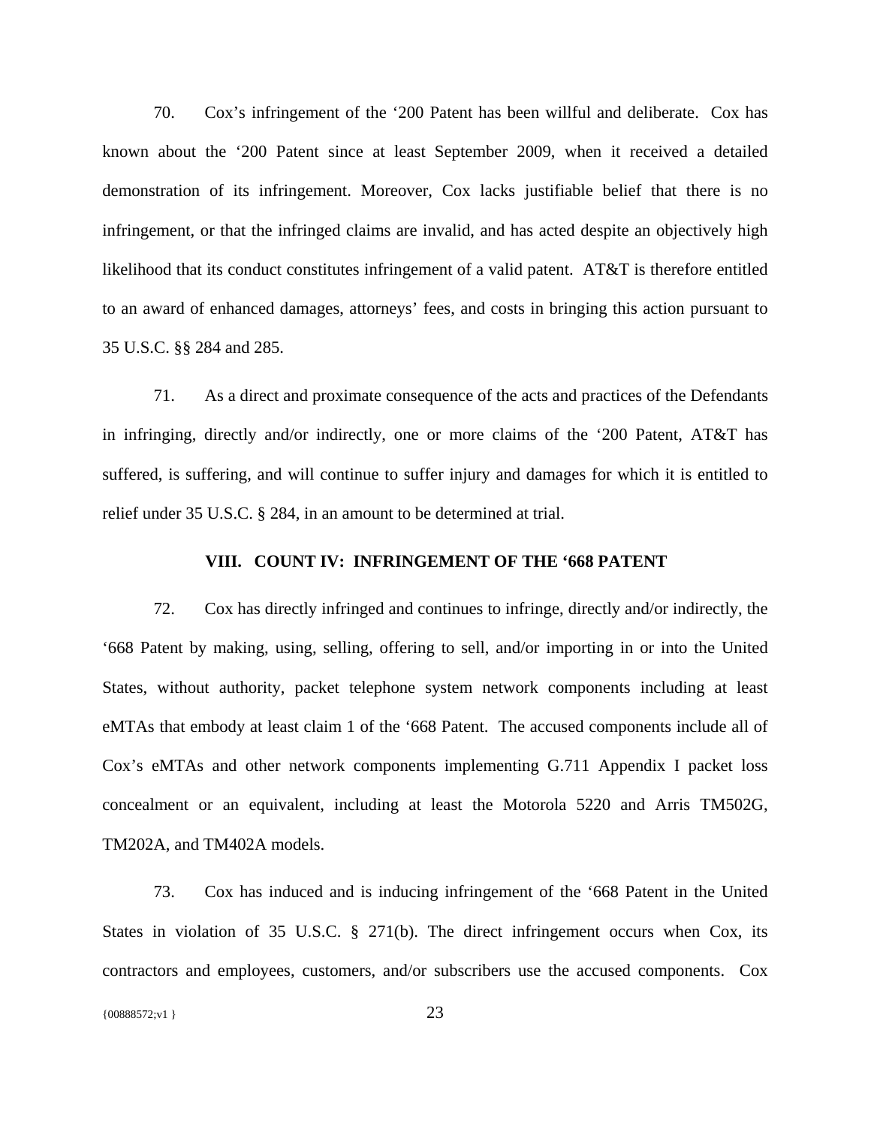70. Cox's infringement of the '200 Patent has been willful and deliberate. Cox has known about the '200 Patent since at least September 2009, when it received a detailed demonstration of its infringement. Moreover, Cox lacks justifiable belief that there is no infringement, or that the infringed claims are invalid, and has acted despite an objectively high likelihood that its conduct constitutes infringement of a valid patent. AT&T is therefore entitled to an award of enhanced damages, attorneys' fees, and costs in bringing this action pursuant to 35 U.S.C. §§ 284 and 285.

71. As a direct and proximate consequence of the acts and practices of the Defendants in infringing, directly and/or indirectly, one or more claims of the '200 Patent, AT&T has suffered, is suffering, and will continue to suffer injury and damages for which it is entitled to relief under 35 U.S.C. § 284, in an amount to be determined at trial.

## **VIII. COUNT IV: INFRINGEMENT OF THE '668 PATENT**

72. Cox has directly infringed and continues to infringe, directly and/or indirectly, the '668 Patent by making, using, selling, offering to sell, and/or importing in or into the United States, without authority, packet telephone system network components including at least eMTAs that embody at least claim 1 of the '668 Patent. The accused components include all of Cox's eMTAs and other network components implementing G.711 Appendix I packet loss concealment or an equivalent, including at least the Motorola 5220 and Arris TM502G, TM202A, and TM402A models.

73. Cox has induced and is inducing infringement of the '668 Patent in the United States in violation of 35 U.S.C. § 271(b). The direct infringement occurs when Cox, its contractors and employees, customers, and/or subscribers use the accused components. Cox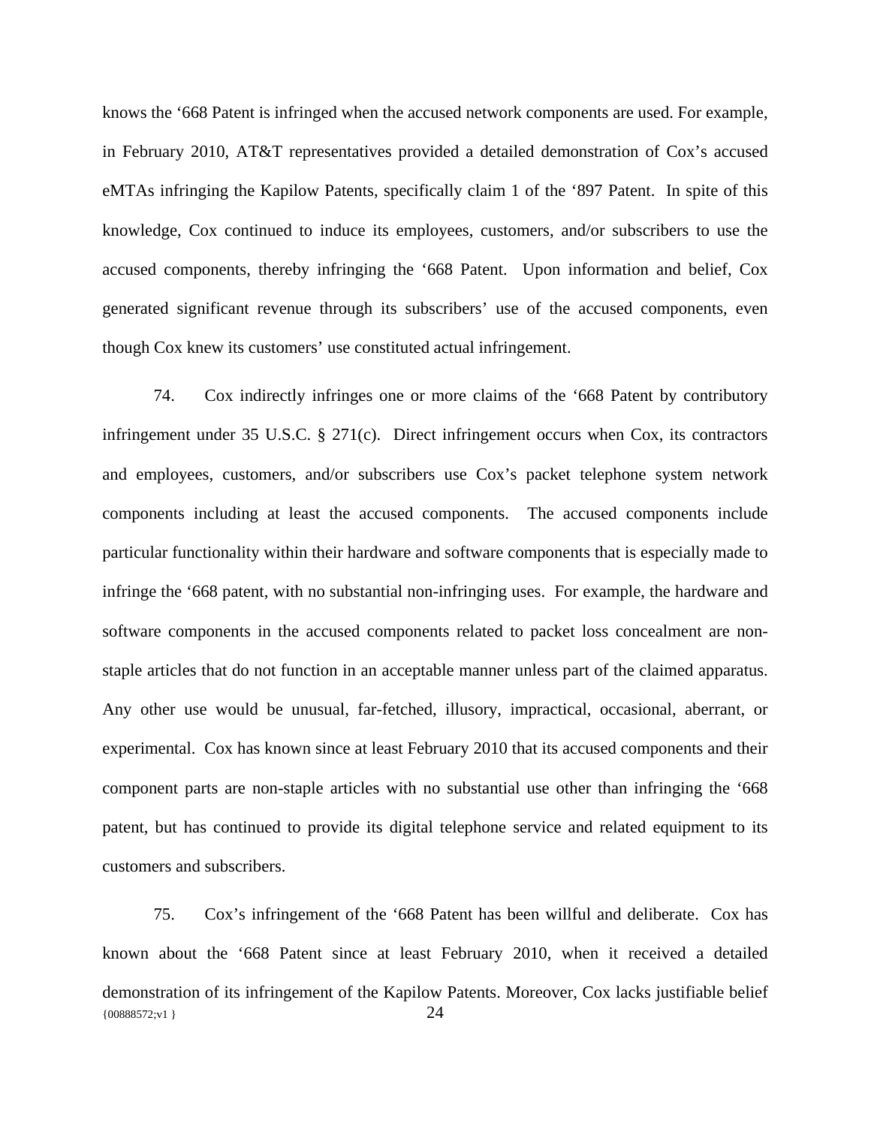knows the '668 Patent is infringed when the accused network components are used. For example, in February 2010, AT&T representatives provided a detailed demonstration of Cox's accused eMTAs infringing the Kapilow Patents, specifically claim 1 of the '897 Patent. In spite of this knowledge, Cox continued to induce its employees, customers, and/or subscribers to use the accused components, thereby infringing the '668 Patent. Upon information and belief, Cox generated significant revenue through its subscribers' use of the accused components, even though Cox knew its customers' use constituted actual infringement.

74. Cox indirectly infringes one or more claims of the '668 Patent by contributory infringement under 35 U.S.C. § 271(c). Direct infringement occurs when Cox, its contractors and employees, customers, and/or subscribers use Cox's packet telephone system network components including at least the accused components. The accused components include particular functionality within their hardware and software components that is especially made to infringe the '668 patent, with no substantial non-infringing uses. For example, the hardware and software components in the accused components related to packet loss concealment are nonstaple articles that do not function in an acceptable manner unless part of the claimed apparatus. Any other use would be unusual, far-fetched, illusory, impractical, occasional, aberrant, or experimental. Cox has known since at least February 2010 that its accused components and their component parts are non-staple articles with no substantial use other than infringing the '668 patent, but has continued to provide its digital telephone service and related equipment to its customers and subscribers.

{00888572;v1 } 24 75. Cox's infringement of the '668 Patent has been willful and deliberate. Cox has known about the '668 Patent since at least February 2010, when it received a detailed demonstration of its infringement of the Kapilow Patents. Moreover, Cox lacks justifiable belief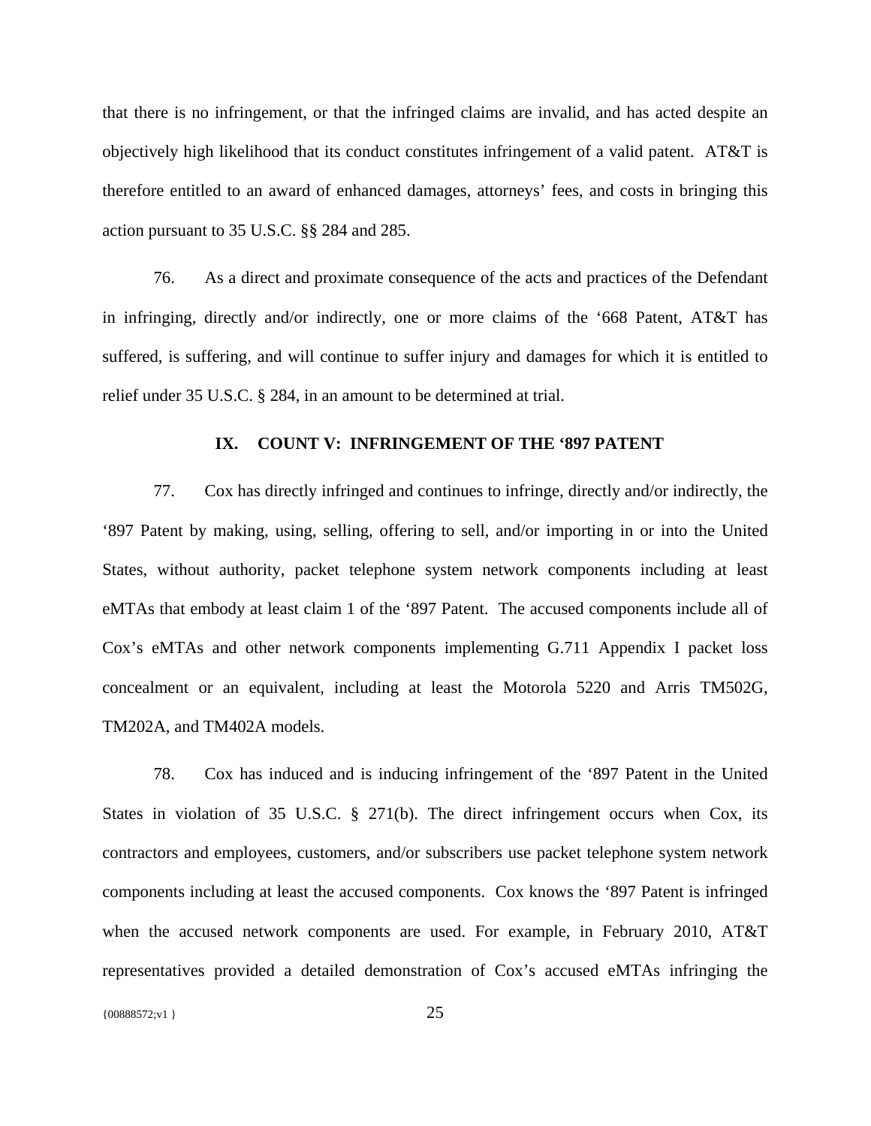that there is no infringement, or that the infringed claims are invalid, and has acted despite an objectively high likelihood that its conduct constitutes infringement of a valid patent. AT&T is therefore entitled to an award of enhanced damages, attorneys' fees, and costs in bringing this action pursuant to 35 U.S.C. §§ 284 and 285.

76. As a direct and proximate consequence of the acts and practices of the Defendant in infringing, directly and/or indirectly, one or more claims of the '668 Patent, AT&T has suffered, is suffering, and will continue to suffer injury and damages for which it is entitled to relief under 35 U.S.C. § 284, in an amount to be determined at trial.

#### **IX. COUNT V: INFRINGEMENT OF THE '897 PATENT**

77. Cox has directly infringed and continues to infringe, directly and/or indirectly, the '897 Patent by making, using, selling, offering to sell, and/or importing in or into the United States, without authority, packet telephone system network components including at least eMTAs that embody at least claim 1 of the '897 Patent. The accused components include all of Cox's eMTAs and other network components implementing G.711 Appendix I packet loss concealment or an equivalent, including at least the Motorola 5220 and Arris TM502G, TM202A, and TM402A models.

78. Cox has induced and is inducing infringement of the '897 Patent in the United States in violation of 35 U.S.C. § 271(b). The direct infringement occurs when Cox, its contractors and employees, customers, and/or subscribers use packet telephone system network components including at least the accused components. Cox knows the '897 Patent is infringed when the accused network components are used. For example, in February 2010, AT&T representatives provided a detailed demonstration of Cox's accused eMTAs infringing the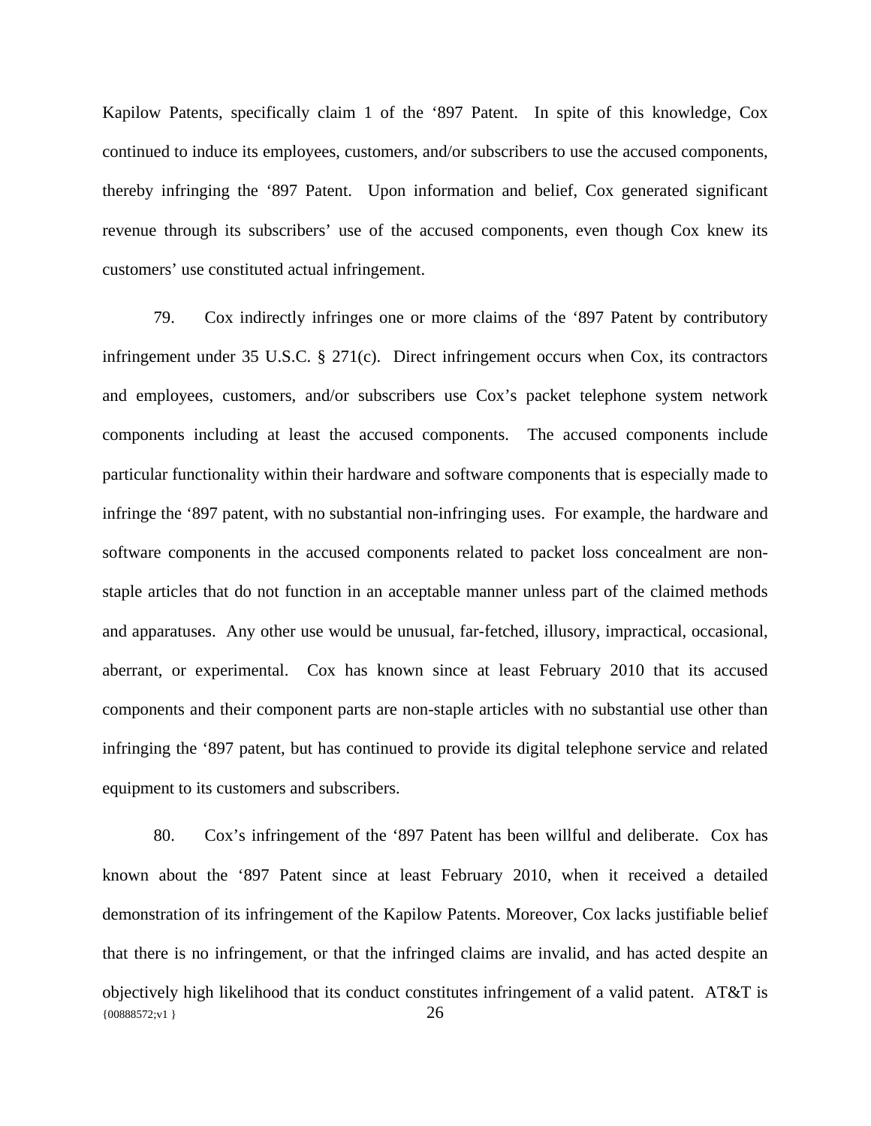Kapilow Patents, specifically claim 1 of the '897 Patent. In spite of this knowledge, Cox continued to induce its employees, customers, and/or subscribers to use the accused components, thereby infringing the '897 Patent. Upon information and belief, Cox generated significant revenue through its subscribers' use of the accused components, even though Cox knew its customers' use constituted actual infringement.

79. Cox indirectly infringes one or more claims of the '897 Patent by contributory infringement under 35 U.S.C. § 271(c). Direct infringement occurs when Cox, its contractors and employees, customers, and/or subscribers use Cox's packet telephone system network components including at least the accused components. The accused components include particular functionality within their hardware and software components that is especially made to infringe the '897 patent, with no substantial non-infringing uses. For example, the hardware and software components in the accused components related to packet loss concealment are nonstaple articles that do not function in an acceptable manner unless part of the claimed methods and apparatuses. Any other use would be unusual, far-fetched, illusory, impractical, occasional, aberrant, or experimental. Cox has known since at least February 2010 that its accused components and their component parts are non-staple articles with no substantial use other than infringing the '897 patent, but has continued to provide its digital telephone service and related equipment to its customers and subscribers.

{00888572;v1 } 26 80. Cox's infringement of the '897 Patent has been willful and deliberate. Cox has known about the '897 Patent since at least February 2010, when it received a detailed demonstration of its infringement of the Kapilow Patents. Moreover, Cox lacks justifiable belief that there is no infringement, or that the infringed claims are invalid, and has acted despite an objectively high likelihood that its conduct constitutes infringement of a valid patent. AT&T is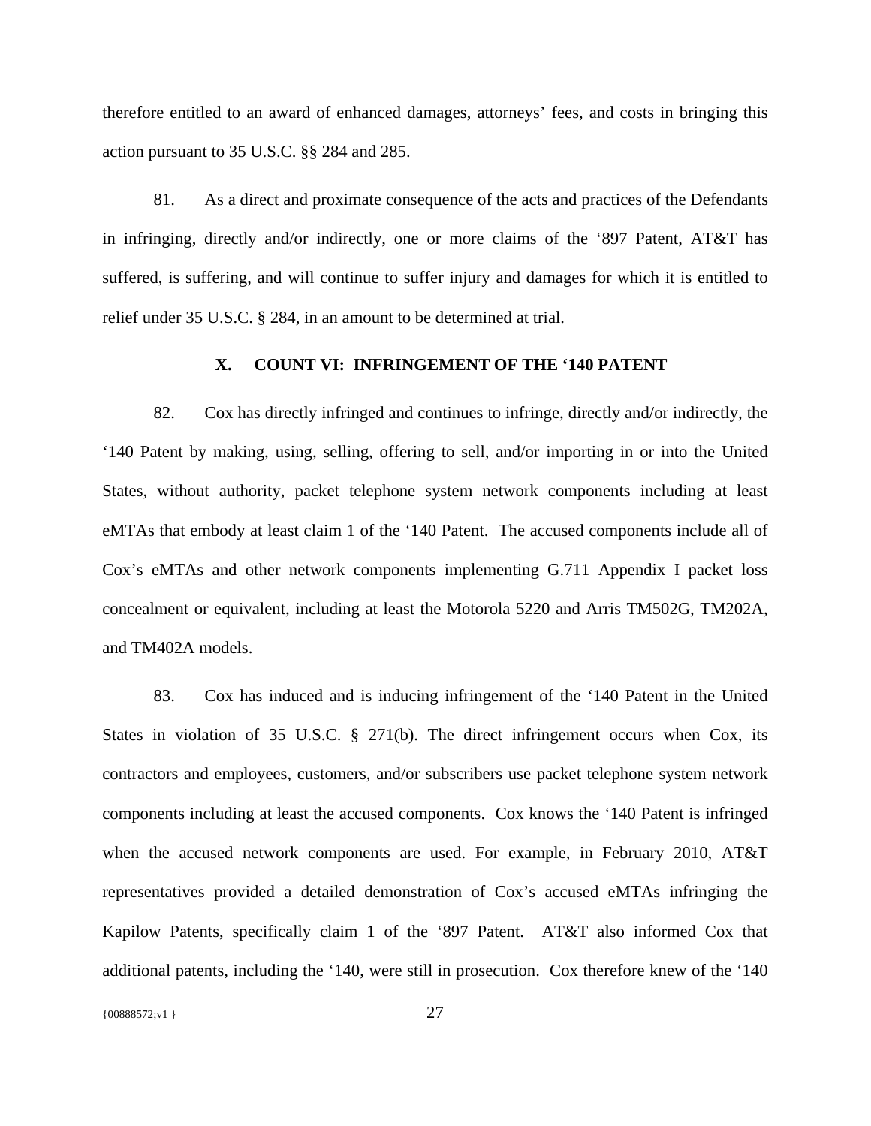therefore entitled to an award of enhanced damages, attorneys' fees, and costs in bringing this action pursuant to 35 U.S.C. §§ 284 and 285.

81. As a direct and proximate consequence of the acts and practices of the Defendants in infringing, directly and/or indirectly, one or more claims of the '897 Patent, AT&T has suffered, is suffering, and will continue to suffer injury and damages for which it is entitled to relief under 35 U.S.C. § 284, in an amount to be determined at trial.

## **X. COUNT VI: INFRINGEMENT OF THE '140 PATENT**

82. Cox has directly infringed and continues to infringe, directly and/or indirectly, the '140 Patent by making, using, selling, offering to sell, and/or importing in or into the United States, without authority, packet telephone system network components including at least eMTAs that embody at least claim 1 of the '140 Patent. The accused components include all of Cox's eMTAs and other network components implementing G.711 Appendix I packet loss concealment or equivalent, including at least the Motorola 5220 and Arris TM502G, TM202A, and TM402A models.

83. Cox has induced and is inducing infringement of the '140 Patent in the United States in violation of 35 U.S.C. § 271(b). The direct infringement occurs when Cox, its contractors and employees, customers, and/or subscribers use packet telephone system network components including at least the accused components. Cox knows the '140 Patent is infringed when the accused network components are used. For example, in February 2010, AT&T representatives provided a detailed demonstration of Cox's accused eMTAs infringing the Kapilow Patents, specifically claim 1 of the '897 Patent. AT&T also informed Cox that additional patents, including the '140, were still in prosecution. Cox therefore knew of the '140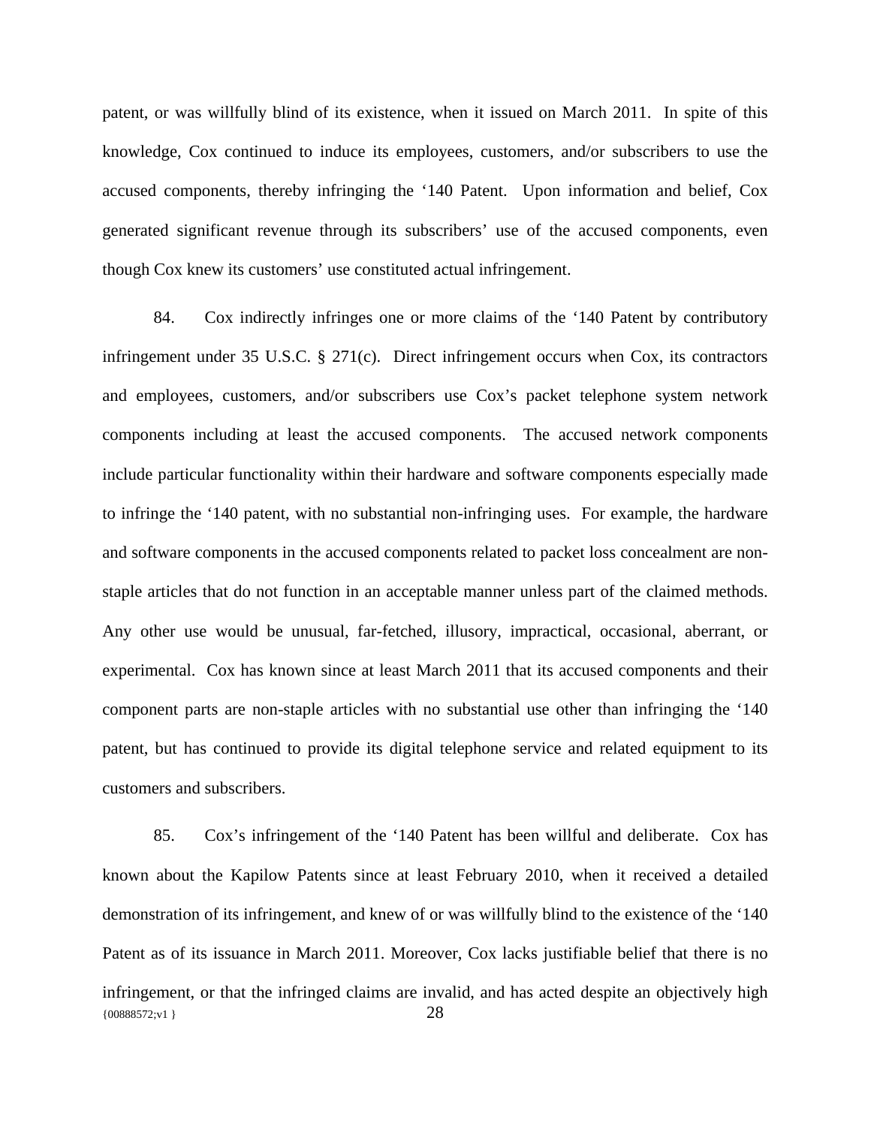patent, or was willfully blind of its existence, when it issued on March 2011. In spite of this knowledge, Cox continued to induce its employees, customers, and/or subscribers to use the accused components, thereby infringing the '140 Patent. Upon information and belief, Cox generated significant revenue through its subscribers' use of the accused components, even though Cox knew its customers' use constituted actual infringement.

84. Cox indirectly infringes one or more claims of the '140 Patent by contributory infringement under 35 U.S.C. § 271(c). Direct infringement occurs when Cox, its contractors and employees, customers, and/or subscribers use Cox's packet telephone system network components including at least the accused components. The accused network components include particular functionality within their hardware and software components especially made to infringe the '140 patent, with no substantial non-infringing uses. For example, the hardware and software components in the accused components related to packet loss concealment are nonstaple articles that do not function in an acceptable manner unless part of the claimed methods. Any other use would be unusual, far-fetched, illusory, impractical, occasional, aberrant, or experimental. Cox has known since at least March 2011 that its accused components and their component parts are non-staple articles with no substantial use other than infringing the '140 patent, but has continued to provide its digital telephone service and related equipment to its customers and subscribers.

{00888572;v1 } 28 85. Cox's infringement of the '140 Patent has been willful and deliberate. Cox has known about the Kapilow Patents since at least February 2010, when it received a detailed demonstration of its infringement, and knew of or was willfully blind to the existence of the '140 Patent as of its issuance in March 2011. Moreover, Cox lacks justifiable belief that there is no infringement, or that the infringed claims are invalid, and has acted despite an objectively high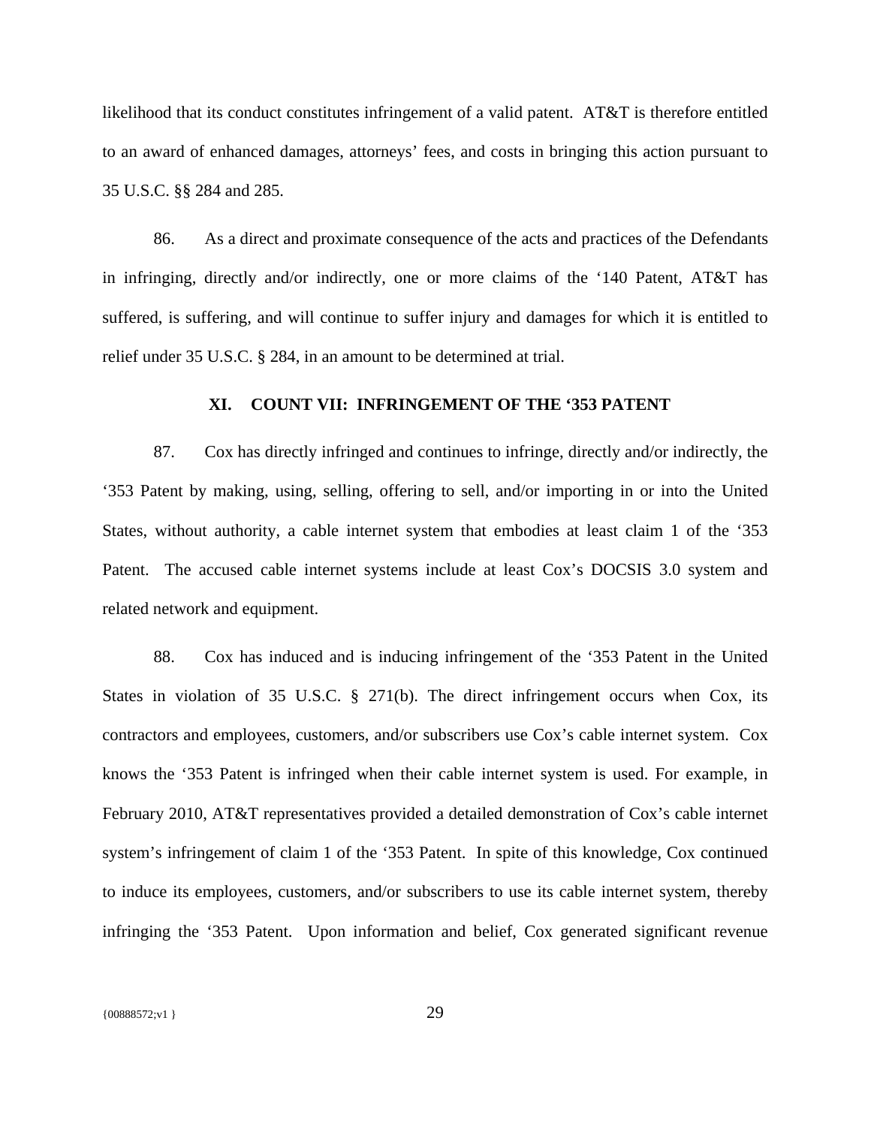likelihood that its conduct constitutes infringement of a valid patent. AT&T is therefore entitled to an award of enhanced damages, attorneys' fees, and costs in bringing this action pursuant to 35 U.S.C. §§ 284 and 285.

86. As a direct and proximate consequence of the acts and practices of the Defendants in infringing, directly and/or indirectly, one or more claims of the '140 Patent, AT&T has suffered, is suffering, and will continue to suffer injury and damages for which it is entitled to relief under 35 U.S.C. § 284, in an amount to be determined at trial.

### **XI. COUNT VII: INFRINGEMENT OF THE '353 PATENT**

87. Cox has directly infringed and continues to infringe, directly and/or indirectly, the '353 Patent by making, using, selling, offering to sell, and/or importing in or into the United States, without authority, a cable internet system that embodies at least claim 1 of the '353 Patent. The accused cable internet systems include at least Cox's DOCSIS 3.0 system and related network and equipment.

88. Cox has induced and is inducing infringement of the '353 Patent in the United States in violation of 35 U.S.C. § 271(b). The direct infringement occurs when Cox, its contractors and employees, customers, and/or subscribers use Cox's cable internet system. Cox knows the '353 Patent is infringed when their cable internet system is used. For example, in February 2010, AT&T representatives provided a detailed demonstration of Cox's cable internet system's infringement of claim 1 of the '353 Patent. In spite of this knowledge, Cox continued to induce its employees, customers, and/or subscribers to use its cable internet system, thereby infringing the '353 Patent. Upon information and belief, Cox generated significant revenue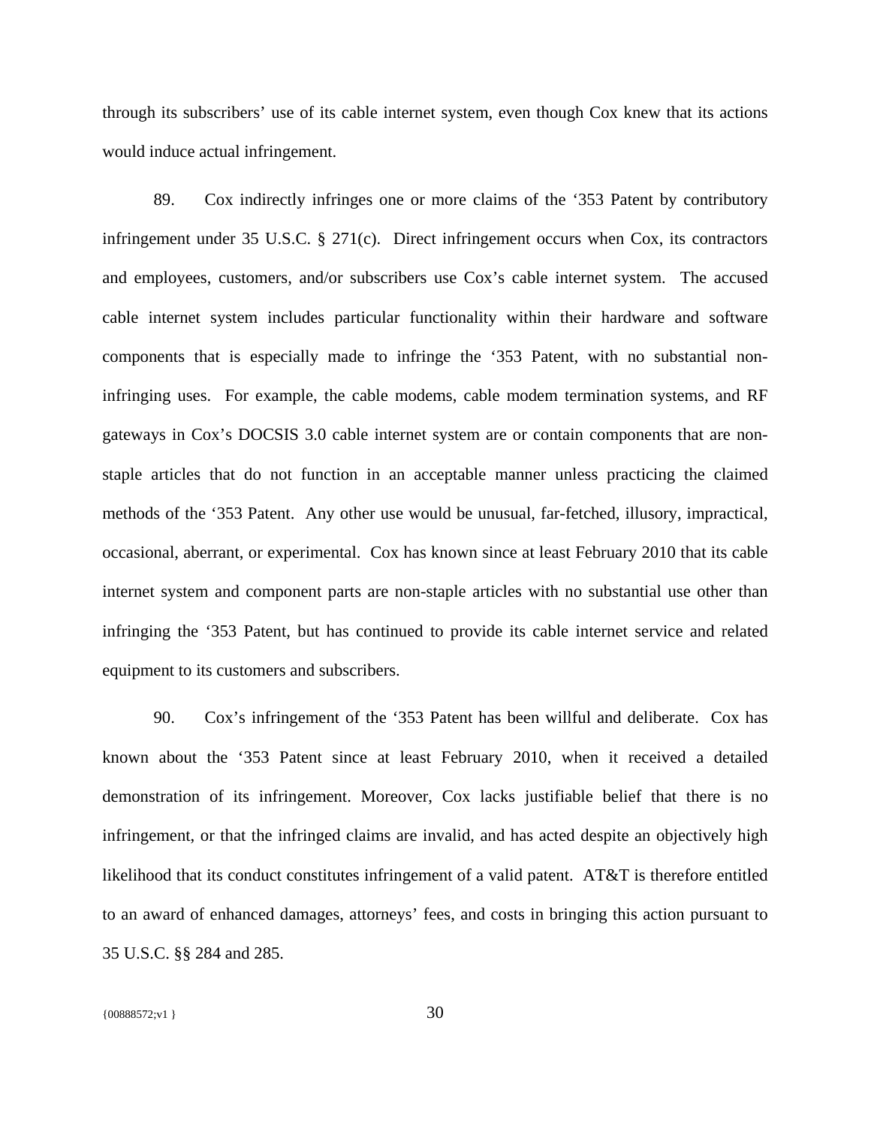through its subscribers' use of its cable internet system, even though Cox knew that its actions would induce actual infringement.

89. Cox indirectly infringes one or more claims of the '353 Patent by contributory infringement under 35 U.S.C. § 271(c). Direct infringement occurs when Cox, its contractors and employees, customers, and/or subscribers use Cox's cable internet system. The accused cable internet system includes particular functionality within their hardware and software components that is especially made to infringe the '353 Patent, with no substantial noninfringing uses. For example, the cable modems, cable modem termination systems, and RF gateways in Cox's DOCSIS 3.0 cable internet system are or contain components that are nonstaple articles that do not function in an acceptable manner unless practicing the claimed methods of the '353 Patent. Any other use would be unusual, far-fetched, illusory, impractical, occasional, aberrant, or experimental. Cox has known since at least February 2010 that its cable internet system and component parts are non-staple articles with no substantial use other than infringing the '353 Patent, but has continued to provide its cable internet service and related equipment to its customers and subscribers.

90. Cox's infringement of the '353 Patent has been willful and deliberate. Cox has known about the '353 Patent since at least February 2010, when it received a detailed demonstration of its infringement. Moreover, Cox lacks justifiable belief that there is no infringement, or that the infringed claims are invalid, and has acted despite an objectively high likelihood that its conduct constitutes infringement of a valid patent. AT&T is therefore entitled to an award of enhanced damages, attorneys' fees, and costs in bringing this action pursuant to 35 U.S.C. §§ 284 and 285.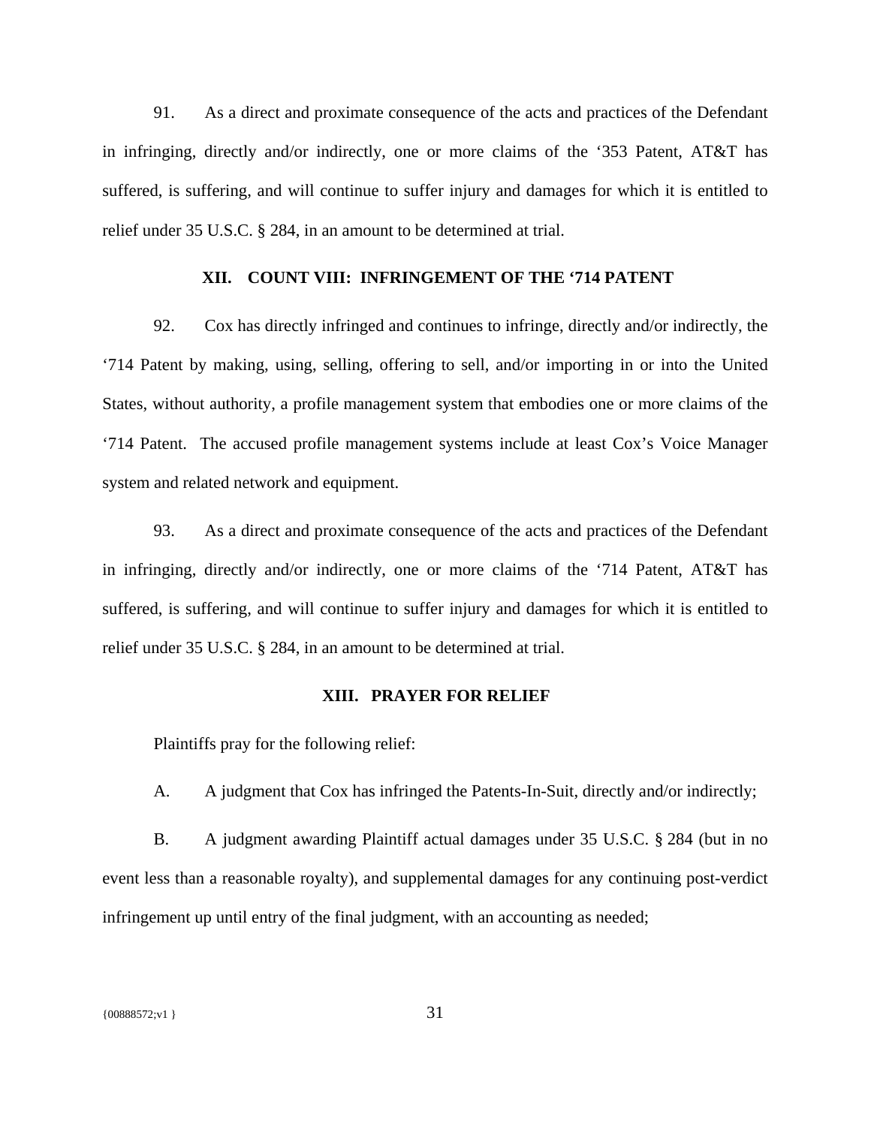91. As a direct and proximate consequence of the acts and practices of the Defendant in infringing, directly and/or indirectly, one or more claims of the '353 Patent, AT&T has suffered, is suffering, and will continue to suffer injury and damages for which it is entitled to relief under 35 U.S.C. § 284, in an amount to be determined at trial.

### **XII. COUNT VIII: INFRINGEMENT OF THE '714 PATENT**

92. Cox has directly infringed and continues to infringe, directly and/or indirectly, the '714 Patent by making, using, selling, offering to sell, and/or importing in or into the United States, without authority, a profile management system that embodies one or more claims of the '714 Patent. The accused profile management systems include at least Cox's Voice Manager system and related network and equipment.

93. As a direct and proximate consequence of the acts and practices of the Defendant in infringing, directly and/or indirectly, one or more claims of the '714 Patent, AT&T has suffered, is suffering, and will continue to suffer injury and damages for which it is entitled to relief under 35 U.S.C. § 284, in an amount to be determined at trial.

# **XIII. PRAYER FOR RELIEF**

Plaintiffs pray for the following relief:

A. A judgment that Cox has infringed the Patents-In-Suit, directly and/or indirectly;

B. A judgment awarding Plaintiff actual damages under 35 U.S.C. § 284 (but in no event less than a reasonable royalty), and supplemental damages for any continuing post-verdict infringement up until entry of the final judgment, with an accounting as needed;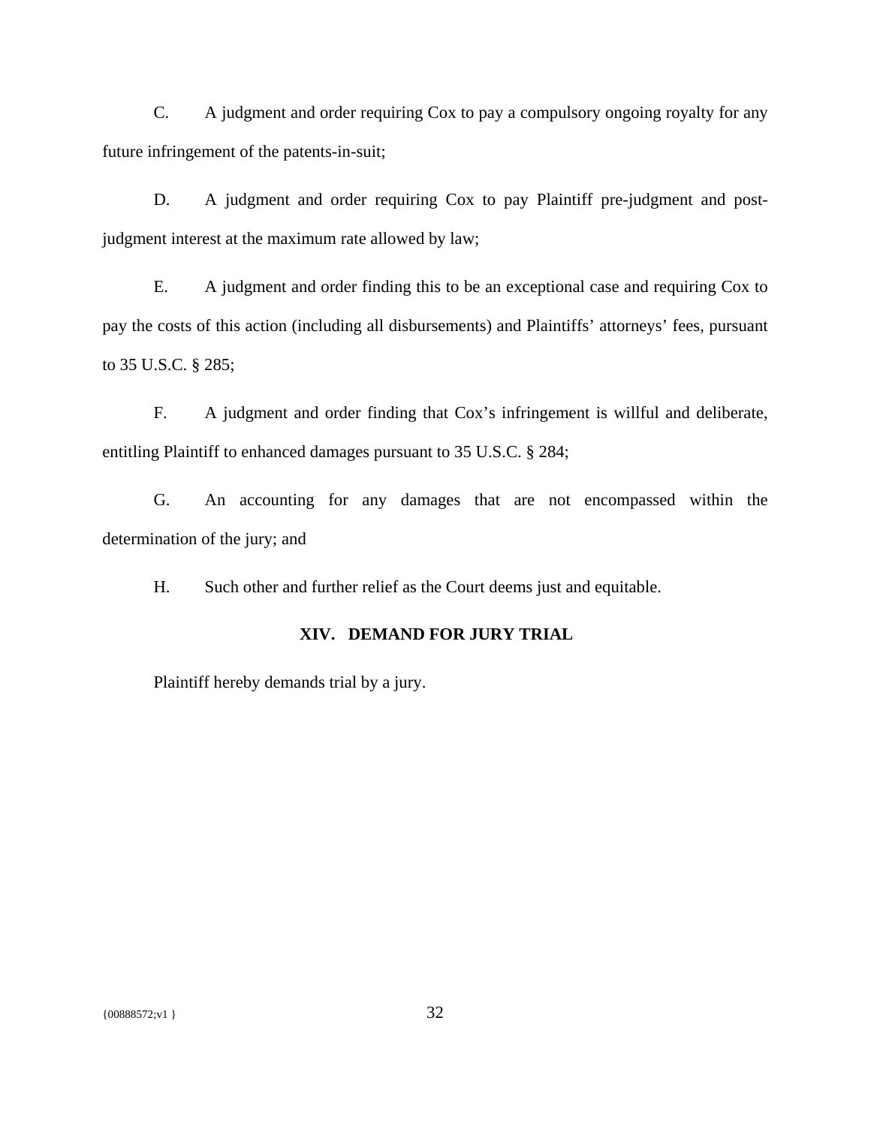C. A judgment and order requiring Cox to pay a compulsory ongoing royalty for any future infringement of the patents-in-suit;

D. A judgment and order requiring Cox to pay Plaintiff pre-judgment and postjudgment interest at the maximum rate allowed by law;

E. A judgment and order finding this to be an exceptional case and requiring Cox to pay the costs of this action (including all disbursements) and Plaintiffs' attorneys' fees, pursuant to 35 U.S.C. § 285;

F. A judgment and order finding that Cox's infringement is willful and deliberate, entitling Plaintiff to enhanced damages pursuant to 35 U.S.C. § 284;

G. An accounting for any damages that are not encompassed within the determination of the jury; and

H. Such other and further relief as the Court deems just and equitable.

# **XIV. DEMAND FOR JURY TRIAL**

Plaintiff hereby demands trial by a jury.